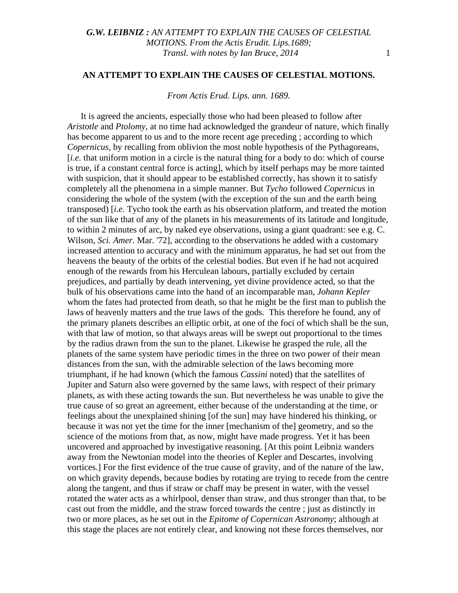#### **AN ATTEMPT TO EXPLAIN THE CAUSES OF CELESTIAL MOTIONS.**

*From Actis Erud. Lips. ann. 1689.*

It is agreed the ancients, especially those who had been pleased to follow after *Aristotle* and *Ptolomy*, at no time had acknowledged the grandeur of nature, which finally has become apparent to us and to the more recent age preceding ; according to which *Copernicus,* by recalling from oblivion the most noble hypothesis of the Pythagoreans, [*i.e.* that uniform motion in a circle is the natural thing for a body to do: which of course is true, if a constant central force is acting], which by itself perhaps may be more tainted with suspicion, that it should appear to be established correctly, has shown it to satisfy completely all the phenomena in a simple manner. But *Tycho* followed *Copernicus* in considering the whole of the system (with the exception of the sun and the earth being transposed) [*i.e.* Tycho took the earth as his observation platform, and treated the motion of the sun like that of any of the planets in his measurements of its latitude and longitude, to within 2 minutes of arc, by naked eye observations, using a giant quadrant: see e.g. C. Wilson, *Sci. Amer.* Mar. '72], according to the observations he added with a customary increased attention to accuracy and with the minimum apparatus, he had set out from the heavens the beauty of the orbits of the celestial bodies. But even if he had not acquired enough of the rewards from his Herculean labours, partially excluded by certain prejudices, and partially by death intervening, yet divine providence acted, so that the bulk of his observations came into the hand of an incomparable man, *Johann Kepler* whom the fates had protected from death, so that he might be the first man to publish the laws of heavenly matters and the true laws of the gods. This therefore he found, any of the primary planets describes an elliptic orbit, at one of the foci of which shall be the sun, with that law of motion, so that always areas will be swept out proportional to the times by the radius drawn from the sun to the planet. Likewise he grasped the rule, all the planets of the same system have periodic times in the three on two power of their mean distances from the sun, with the admirable selection of the laws becoming more triumphant, if he had known (which the famous *Cassini* noted) that the satellites of Jupiter and Saturn also were governed by the same laws, with respect of their primary planets, as with these acting towards the sun. But nevertheless he was unable to give the true cause of so great an agreement, either because of the understanding at the time, or feelings about the unexplained shining [of the sun] may have hindered his thinking, or because it was not yet the time for the inner [mechanism of the] geometry, and so the science of the motions from that, as now, might have made progress. Yet it has been uncovered and approached by investigative reasoning. [At this point Leibniz wanders away from the Newtonian model into the theories of Kepler and Descartes, involving vortices.] For the first evidence of the true cause of gravity, and of the nature of the law, on which gravity depends, because bodies by rotating are trying to recede from the centre along the tangent, and thus if straw or chaff may be present in water, with the vessel rotated the water acts as a whirlpool, denser than straw, and thus stronger than that, to be cast out from the middle, and the straw forced towards the centre ; just as distinctly in two or more places, as he set out in the *Epitome of Copernican Astronomy*; although at this stage the places are not entirely clear, and knowing not these forces themselves, nor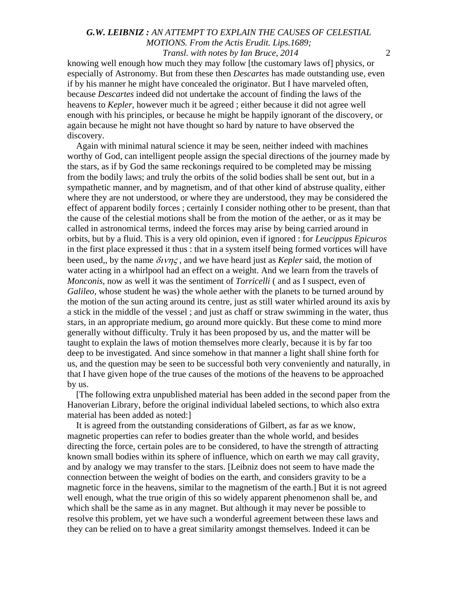knowing well enough how much they may follow [the customary laws of] physics, or especially of Astronomy. But from these then *Descartes* has made outstanding use, even if by his manner he might have concealed the originator. But I have marveled often, because *Descartes* indeed did not undertake the account of finding the laws of the heavens to *Kepler,* however much it be agreed ; either because it did not agree well enough with his principles, or because he might be happily ignorant of the discovery, or again because he might not have thought so hard by nature to have observed the discovery.

Again with minimal natural science it may be seen, neither indeed with machines worthy of God, can intelligent people assign the special directions of the journey made by the stars, as if by God the same reckonings required to be completed may be missing from the bodily laws; and truly the orbits of the solid bodies shall be sent out, but in a sympathetic manner, and by magnetism, and of that other kind of abstruse quality, either where they are not understood, or where they are understood, they may be considered the effect of apparent bodily forces ; certainly I consider nothing other to be present, than that the cause of the celestial motions shall be from the motion of the aether, or as it may be called in astronomical terms, indeed the forces may arise by being carried around in orbits, but by a fluid. This is a very old opinion, even if ignored : for *Leucippus Epicuros* in the first place expressed it thus : that in a system itself being formed vortices will have been used,, by the name δινης , and we have heard just as *Kepler* said, the motion of water acting in a whirlpool had an effect on a weight. And we learn from the travels of *Monconis*, now as well it was the sentiment of *Torricelli* ( and as I suspect, even of *Galileo,* whose student he was) the whole aether with the planets to be turned around by the motion of the sun acting around its centre, just as still water whirled around its axis by a stick in the middle of the vessel ; and just as chaff or straw swimming in the water, thus stars, in an appropriate medium, go around more quickly. But these come to mind more generally without difficulty. Truly it has been proposed by us, and the matter will be taught to explain the laws of motion themselves more clearly, because it is by far too deep to be investigated. And since somehow in that manner a light shall shine forth for us, and the question may be seen to be successful both very conveniently and naturally, in that I have given hope of the true causes of the motions of the heavens to be approached by us.

[The following extra unpublished material has been added in the second paper from the Hanoverian Library, before the original individual labeled sections, to which also extra material has been added as noted:]

It is agreed from the outstanding considerations of Gilbert, as far as we know, magnetic properties can refer to bodies greater than the whole world, and besides directing the force, certain poles are to be considered, to have the strength of attracting known small bodies within its sphere of influence, which on earth we may call gravity, and by analogy we may transfer to the stars. [Leibniz does not seem to have made the connection between the weight of bodies on the earth, and considers gravity to be a magnetic force in the heavens, similar to the magnetism of the earth.] But it is not agreed well enough, what the true origin of this so widely apparent phenomenon shall be, and which shall be the same as in any magnet. But although it may never be possible to resolve this problem, yet we have such a wonderful agreement between these laws and they can be relied on to have a great similarity amongst themselves. Indeed it can be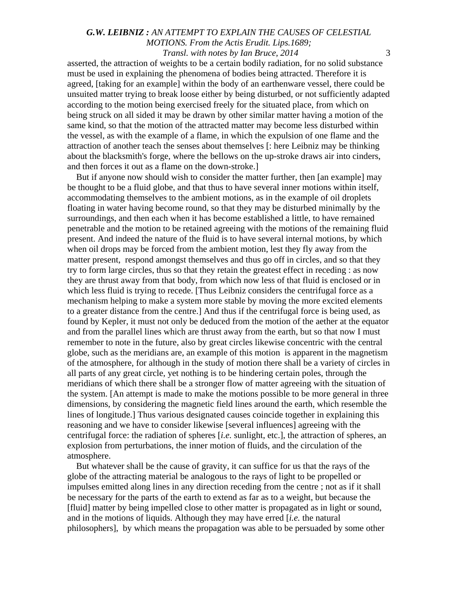asserted, the attraction of weights to be a certain bodily radiation, for no solid substance must be used in explaining the phenomena of bodies being attracted. Therefore it is agreed, [taking for an example] within the body of an earthenware vessel, there could be unsuited matter trying to break loose either by being disturbed, or not sufficiently adapted according to the motion being exercised freely for the situated place, from which on being struck on all sided it may be drawn by other similar matter having a motion of the same kind, so that the motion of the attracted matter may become less disturbed within the vessel, as with the example of a flame, in which the expulsion of one flame and the attraction of another teach the senses about themselves [: here Leibniz may be thinking about the blacksmith's forge, where the bellows on the up-stroke draws air into cinders, and then forces it out as a flame on the down-stroke.]

But if anyone now should wish to consider the matter further, then [an example] may be thought to be a fluid globe, and that thus to have several inner motions within itself, accommodating themselves to the ambient motions, as in the example of oil droplets floating in water having become round, so that they may be disturbed minimally by the surroundings, and then each when it has become established a little, to have remained penetrable and the motion to be retained agreeing with the motions of the remaining fluid present. And indeed the nature of the fluid is to have several internal motions, by which when oil drops may be forced from the ambient motion, lest they fly away from the matter present, respond amongst themselves and thus go off in circles, and so that they try to form large circles, thus so that they retain the greatest effect in receding : as now they are thrust away from that body, from which now less of that fluid is enclosed or in which less fluid is trying to recede. [Thus Leibniz considers the centrifugal force as a mechanism helping to make a system more stable by moving the more excited elements to a greater distance from the centre.] And thus if the centrifugal force is being used, as found by Kepler, it must not only be deduced from the motion of the aether at the equator and from the parallel lines which are thrust away from the earth, but so that now I must remember to note in the future, also by great circles likewise concentric with the central globe, such as the meridians are, an example of this motion is apparent in the magnetism of the atmosphere, for although in the study of motion there shall be a variety of circles in all parts of any great circle, yet nothing is to be hindering certain poles, through the meridians of which there shall be a stronger flow of matter agreeing with the situation of the system. [An attempt is made to make the motions possible to be more general in three dimensions, by considering the magnetic field lines around the earth, which resemble the lines of longitude.] Thus various designated causes coincide together in explaining this reasoning and we have to consider likewise [several influences] agreeing with the centrifugal force: the radiation of spheres [*i.e.* sunlight, etc.], the attraction of spheres, an explosion from perturbations, the inner motion of fluids, and the circulation of the atmosphere.

But whatever shall be the cause of gravity, it can suffice for us that the rays of the globe of the attracting material be analogous to the rays of light to be propelled or impulses emitted along lines in any direction receding from the centre ; not as if it shall be necessary for the parts of the earth to extend as far as to a weight, but because the [fluid] matter by being impelled close to other matter is propagated as in light or sound, and in the motions of liquids. Although they may have erred [*i.e.* the natural philosophers], by which means the propagation was able to be persuaded by some other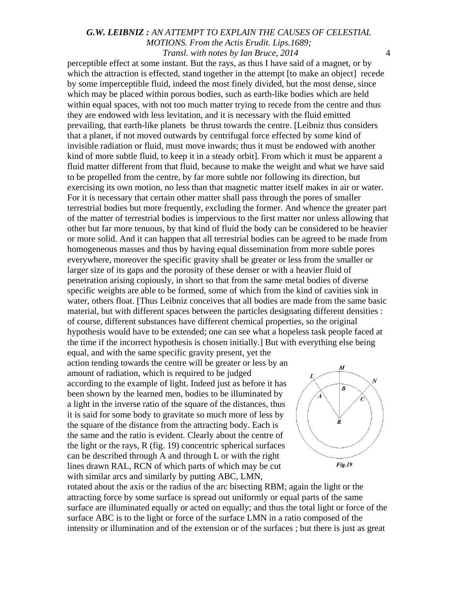perceptible effect at some instant. But the rays, as thus I have said of a magnet, or by which the attraction is effected, stand together in the attempt [to make an object] recede by some imperceptible fluid, indeed the most finely divided, but the most dense, since which may be placed within porous bodies, such as earth-like bodies which are held within equal spaces, with not too much matter trying to recede from the centre and thus they are endowed with less levitation, and it is necessary with the fluid emitted prevailing, that earth-like planets be thrust towards the centre. [Leibniz thus considers that a planet, if not moved outwards by centrifugal force effected by some kind of invisible radiation or fluid, must move inwards; thus it must be endowed with another kind of more subtle fluid, to keep it in a steady orbit]. From which it must be apparent a fluid matter different from that fluid, because to make the weight and what we have said to be propelled from the centre, by far more subtle nor following its direction, but exercising its own motion, no less than that magnetic matter itself makes in air or water. For it is necessary that certain other matter shall pass through the pores of smaller terrestrial bodies but more frequently, excluding the former. And whence the greater part of the matter of terrestrial bodies is impervious to the first matter nor unless allowing that other but far more tenuous, by that kind of fluid the body can be considered to be heavier or more solid. And it can happen that all terrestrial bodies can be agreed to be made from homogeneous masses and thus by having equal dissemination from more subtle pores everywhere, moreover the specific gravity shall be greater or less from the smaller or larger size of its gaps and the porosity of these denser or with a heavier fluid of penetration arising copiously, in short so that from the same metal bodies of diverse specific weights are able to be formed, some of which from the kind of cavities sink in water, others float. [Thus Leibniz conceives that all bodies are made from the same basic material, but with different spaces between the particles designating different densities : of course, different substances have different chemical properties, so the original hypothesis would have to be extended; one can see what a hopeless task people faced at the time if the incorrect hypothesis is chosen initially.] But with everything else being

equal, and with the same specific gravity present, yet the action tending towards the centre will be greater or less by an amount of radiation, which is required to be judged according to the example of light. Indeed just as before it has been shown by the learned men, bodies to be illuminated by a light in the inverse ratio of the square of the distances, thus it is said for some body to gravitate so much more of less by the square of the distance from the attracting body. Each is the same and the ratio is evident. Clearly about the centre of the light or the rays, R (fig. 19) concentric spherical surfaces can be described through A and through L or with the right lines drawn RAL, RCN of which parts of which may be cut with similar arcs and similarly by putting ABC, LMN,



rotated about the axis or the radius of the arc bisecting RBM; again the light or the attracting force by some surface is spread out uniformly or equal parts of the same surface are illuminated equally or acted on equally; and thus the total light or force of the surface ABC is to the light or force of the surface LMN in a ratio composed of the intensity or illumination and of the extension or of the surfaces ; but there is just as great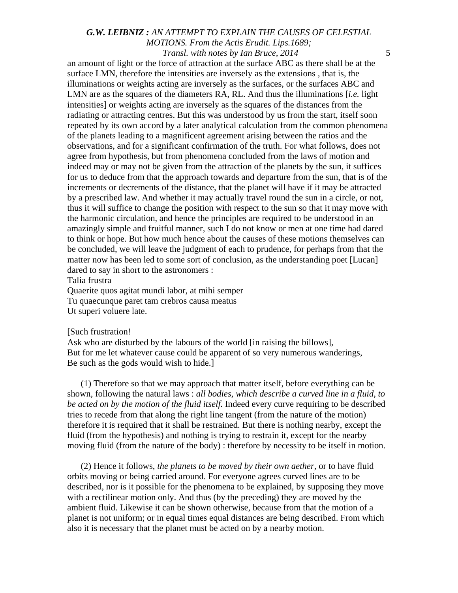an amount of light or the force of attraction at the surface ABC as there shall be at the surface LMN, therefore the intensities are inversely as the extensions , that is, the illuminations or weights acting are inversely as the surfaces, or the surfaces ABC and LMN are as the squares of the diameters RA, RL. And thus the illuminations [*i.e.* light intensities] or weights acting are inversely as the squares of the distances from the radiating or attracting centres. But this was understood by us from the start, itself soon repeated by its own accord by a later analytical calculation from the common phenomena of the planets leading to a magnificent agreement arising between the ratios and the observations, and for a significant confirmation of the truth. For what follows, does not agree from hypothesis, but from phenomena concluded from the laws of motion and indeed may or may not be given from the attraction of the planets by the sun, it suffices for us to deduce from that the approach towards and departure from the sun, that is of the increments or decrements of the distance, that the planet will have if it may be attracted by a prescribed law. And whether it may actually travel round the sun in a circle, or not, thus it will suffice to change the position with respect to the sun so that it may move with the harmonic circulation, and hence the principles are required to be understood in an amazingly simple and fruitful manner, such I do not know or men at one time had dared to think or hope. But how much hence about the causes of these motions themselves can be concluded, we will leave the judgment of each to prudence, for perhaps from that the matter now has been led to some sort of conclusion, as the understanding poet [Lucan] dared to say in short to the astronomers :

Talia frustra

Quaerite quos agitat mundi labor, at mihi semper Tu quaecunque paret tam crebros causa meatus Ut superi voluere late.

#### [Such frustration!

Ask who are disturbed by the labours of the world [in raising the billows], But for me let whatever cause could be apparent of so very numerous wanderings, Be such as the gods would wish to hide.]

(1) Therefore so that we may approach that matter itself, before everything can be shown, following the natural laws : *all bodies, which describe a curved line in a fluid*, *to be acted on by the motion of the fluid itself.* Indeed every curve requiring to be described tries to recede from that along the right line tangent (from the nature of the motion) therefore it is required that it shall be restrained. But there is nothing nearby, except the fluid (from the hypothesis) and nothing is trying to restrain it, except for the nearby moving fluid (from the nature of the body) : therefore by necessity to be itself in motion.

(2) Hence it follows, *the planets to be moved by their own aether,* or to have fluid orbits moving or being carried around. For everyone agrees curved lines are to be described, nor is it possible for the phenomena to be explained, by supposing they move with a rectilinear motion only. And thus (by the preceding) they are moved by the ambient fluid. Likewise it can be shown otherwise, because from that the motion of a planet is not uniform; or in equal times equal distances are being described. From which also it is necessary that the planet must be acted on by a nearby motion.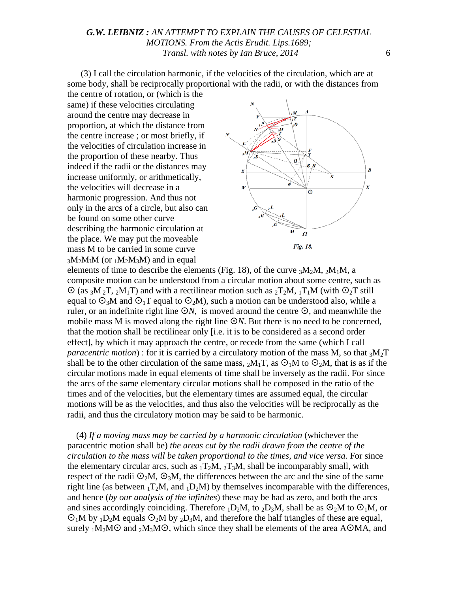(3) I call the circulation harmonic, if the velocities of the circulation, which are at some body, shall be reciprocally proportional with the radii, or with the distances from the centre of rotation, or (which is the

same) if these velocities circulating around the centre may decrease in proportion, at which the distance from the centre increase ; or most briefly, if the velocities of circulation increase in the proportion of these nearby. Thus indeed if the radii or the distances may increase uniformly, or arithmetically, the velocities will decrease in a harmonic progression. And thus not only in the arcs of a circle, but also can be found on some other curve describing the harmonic circulation at the place. We may put the moveable mass M to be carried in some curve  $3M_2M_1M$  (or  $1M_2M_3M$ ) and in equal



elements of time to describe the elements (Fig. 18), of the curve  ${}_{3}M_{2}M$ ,  ${}_{2}M_{1}M$ , a composite motion can be understood from a circular motion about some centre, such as  $\odot$  (as <sub>3</sub>M<sub>2</sub>T, <sub>2</sub>M<sub>1</sub>T) and with a rectilinear motion such as <sub>2</sub>T<sub>2</sub>M, <sub>1</sub>T<sub>1</sub>M (with  $\odot$ <sub>2</sub>T still equal to  $\mathcal{O}_3M$  and  $\mathcal{O}_1T$  equal to  $\mathcal{O}_2M$ ), such a motion can be understood also, while a ruler, or an indefinite right line  $\mathcal{O}N$ , is moved around the centre  $\mathcal{O}$ , and meanwhile the mobile mass M is moved along the right line  $\mathcal{O}N$ . But there is no need to be concerned, that the motion shall be rectilinear only [i.e. it is to be considered as a second order effect], by which it may approach the centre, or recede from the same (which I call *paracentric motion*) : for it is carried by a circulatory motion of the mass M, so that  ${}_{3}M_{2}T$ shall be to the other circulation of the same mass,  $_2M_1T$ , as  $\odot_1M$  to  $\odot_2M$ , that is as if the circular motions made in equal elements of time shall be inversely as the radii. For since the arcs of the same elementary circular motions shall be composed in the ratio of the times and of the velocities, but the elementary times are assumed equal, the circular motions will be as the velocities, and thus also the velocities will be reciprocally as the radii, and thus the circulatory motion may be said to be harmonic.

(4) *If a moving mass may be carried by a harmonic circulation* (whichever the paracentric motion shall be) *the areas cut by the radii drawn from the centre of the circulation to the mass will be taken proportional to the times, and vice versa.* For since the elementary circular arcs, such as  $_1T_2M$ ,  $_2T_3M$ , shall be incomparably small, with respect of the radii  $\mathcal{O}_2M$ ,  $\mathcal{O}_3M$ , the differences between the arc and the sine of the same right line (as between  $T_1T_2M$ , and  $T_1D_2M$ ) by themselves incomparable with the differences, and hence (*by our analysis of the infinites*) these may be had as zero, and both the arcs and sines accordingly coinciding. Therefore  $_1D_2M$ , to  $_2D_3M$ , shall be as  $\odot_2M$  to  $\odot_1M$ , or  $O_1M$  by  $_1D_2M$  equals  $O_2M$  by  $_2D_3M$ , and therefore the half triangles of these are equal, surely  $1M_2MO$  and  $2M_3MO$ , which since they shall be elements of the area AOMA, and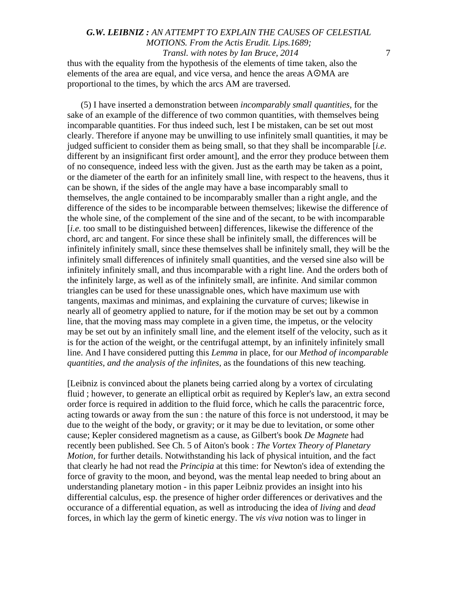thus with the equality from the hypothesis of the elements of time taken, also the elements of the area are equal, and vice versa, and hence the areas AOMA are proportional to the times, by which the arcs AM are traversed.

(5) I have inserted a demonstration between *incomparably small quantities,* for the sake of an example of the difference of two common quantities, with themselves being incomparable quantities. For thus indeed such, lest I be mistaken, can be set out most clearly. Therefore if anyone may be unwilling to use infinitely small quantities, it may be judged sufficient to consider them as being small, so that they shall be incomparable [*i.e.* different by an insignificant first order amount], and the error they produce between them of no consequence, indeed less with the given. Just as the earth may be taken as a point, or the diameter of the earth for an infinitely small line, with respect to the heavens, thus it can be shown, if the sides of the angle may have a base incomparably small to themselves, the angle contained to be incomparably smaller than a right angle, and the difference of the sides to be incomparable between themselves; likewise the difference of the whole sine, of the complement of the sine and of the secant, to be with incomparable [*i.e.* too small to be distinguished between] differences, likewise the difference of the chord, arc and tangent. For since these shall be infinitely small, the differences will be infinitely infinitely small, since these themselves shall be infinitely small, they will be the infinitely small differences of infinitely small quantities*,* and the versed sine also will be infinitely infinitely small, and thus incomparable with a right line. And the orders both of the infinitely large, as well as of the infinitely small, are infinite. And similar common triangles can be used for these unassignable ones, which have maximum use with tangents, maximas and minimas, and explaining the curvature of curves; likewise in nearly all of geometry applied to nature, for if the motion may be set out by a common line, that the moving mass may complete in a given time, the impetus, or the velocity may be set out by an infinitely small line, and the element itself of the velocity, such as it is for the action of the weight, or the centrifugal attempt, by an infinitely infinitely small line. And I have considered putting this *Lemma* in place, for our *Method of incomparable quantities, and the analysis of the infinites,* as the foundations of this new teaching*.*

[Leibniz is convinced about the planets being carried along by a vortex of circulating fluid ; however, to generate an elliptical orbit as required by Kepler's law, an extra second order force is required in addition to the fluid force, which he calls the paracentric force, acting towards or away from the sun : the nature of this force is not understood, it may be due to the weight of the body, or gravity; or it may be due to levitation, or some other cause; Kepler considered magnetism as a cause, as Gilbert's book *De Magnete* had recently been published. See Ch. 5 of Aiton's book : *The Vortex Theory of Planetary Motion,* for further details. Notwithstanding his lack of physical intuition, and the fact that clearly he had not read the *Principia* at this time: for Newton's idea of extending the force of gravity to the moon, and beyond, was the mental leap needed to bring about an understanding planetary motion - in this paper Leibniz provides an insight into his differential calculus, esp. the presence of higher order differences or derivatives and the occurance of a differential equation, as well as introducing the idea of *living* and *dead* forces, in which lay the germ of kinetic energy. The *vis viva* notion was to linger in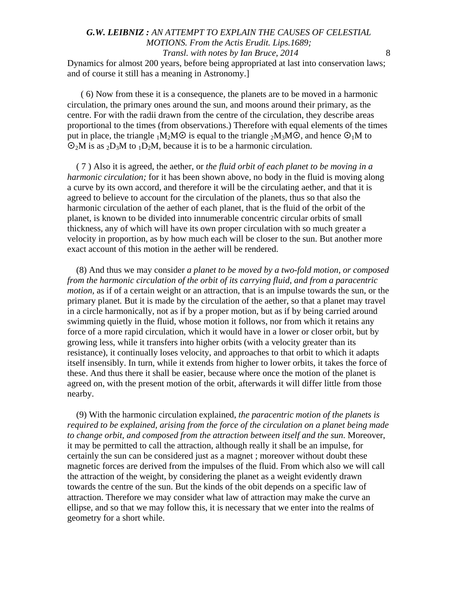# *G.W. LEIBNIZ : AN ATTEMPT TO EXPLAIN THE CAUSES OF CELESTIAL MOTIONS. From the Actis Erudit. Lips.1689; Transl. with notes by Ian Bruce, 2014* 8 Dynamics for almost 200 years, before being appropriated at last into conservation laws;

and of course it still has a meaning in Astronomy.]

( 6) Now from these it is a consequence, the planets are to be moved in a harmonic circulation, the primary ones around the sun, and moons around their primary, as the centre. For with the radii drawn from the centre of the circulation, they describe areas proportional to the times (from observations.) Therefore with equal elements of the times put in place, the triangle  $_1M_2MO$  is equal to the triangle  $_2M_3MO$ , and hence  $O_1M$  to  $\mathcal{O}_2M$  is as  $_2D_3M$  to  $_1D_2M$ , because it is to be a harmonic circulation.

( 7 ) Also it is agreed, the aether, or *the fluid orbit of each planet to be moving in a harmonic circulation;* for it has been shown above, no body in the fluid is moving along a curve by its own accord, and therefore it will be the circulating aether, and that it is agreed to believe to account for the circulation of the planets, thus so that also the harmonic circulation of the aether of each planet, that is the fluid of the orbit of the planet, is known to be divided into innumerable concentric circular orbits of small thickness, any of which will have its own proper circulation with so much greater a velocity in proportion, as by how much each will be closer to the sun. But another more exact account of this motion in the aether will be rendered.

(8) And thus we may consider *a planet to be moved by a two-fold motion, or composed from the harmonic circulation of the orbit of its carrying fluid, and from a paracentric motion,* as if of a certain weight or an attraction, that is an impulse towards the sun, or the primary planet*.* But it is made by the circulation of the aether, so that a planet may travel in a circle harmonically, not as if by a proper motion, but as if by being carried around swimming quietly in the fluid, whose motion it follows, nor from which it retains any force of a more rapid circulation, which it would have in a lower or closer orbit, but by growing less, while it transfers into higher orbits (with a velocity greater than its resistance), it continually loses velocity, and approaches to that orbit to which it adapts itself insensibly. In turn, while it extends from higher to lower orbits, it takes the force of these. And thus there it shall be easier, because where once the motion of the planet is agreed on, with the present motion of the orbit, afterwards it will differ little from those nearby.

(9) With the harmonic circulation explained, *the paracentric motion of the planets is required to be explained, arising from the force of the circulation on a planet being made to change orbit, and composed from the attraction between itself and the sun*. Moreover, it may be permitted to call the attraction, although really it shall be an impulse, for certainly the sun can be considered just as a magnet ; moreover without doubt these magnetic forces are derived from the impulses of the fluid. From which also we will call the attraction of the weight, by considering the planet as a weight evidently drawn towards the centre of the sun. But the kinds of the obit depends on a specific law of attraction. Therefore we may consider what law of attraction may make the curve an ellipse, and so that we may follow this, it is necessary that we enter into the realms of geometry for a short while.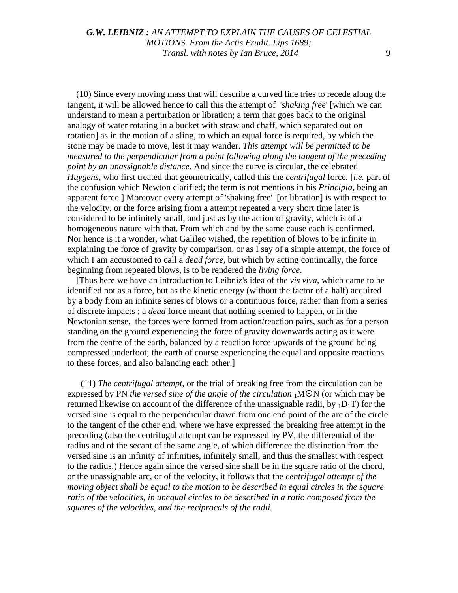(10) Since every moving mass that will describe a curved line tries to recede along the tangent, it will be allowed hence to call this the attempt of '*shaking free*' [which we can understand to mean a perturbation or libration; a term that goes back to the original analogy of water rotating in a bucket with straw and chaff, which separated out on rotation] as in the motion of a sling, to which an equal force is required, by which the stone may be made to move, lest it may wander. *This attempt will be permitted to be measured to the perpendicular from a point following along the tangent of the preceding point by an unassignable distance.* And since the curve is circular, the celebrated *Huygens*, who first treated that geometrically, called this the *centrifugal* force*.* [*i.e.* part of the confusion which Newton clarified; the term is not mentions in his *Principia*, being an apparent force.] Moreover every attempt of 'shaking free' [or libration] is with respect to the velocity, or the force arising from a attempt repeated a very short time later is considered to be infinitely small, and just as by the action of gravity, which is of a homogeneous nature with that. From which and by the same cause each is confirmed. Nor hence is it a wonder, what Galileo wished, the repetition of blows to be infinite in explaining the force of gravity by comparison, or as I say of a simple attempt, the force of which I am accustomed to call a *dead force*, but which by acting continually, the force beginning from repeated blows, is to be rendered the *living force*.

[Thus here we have an introduction to Leibniz's idea of the *vis viva*, which came to be identified not as a force, but as the kinetic energy (without the factor of a half) acquired by a body from an infinite series of blows or a continuous force, rather than from a series of discrete impacts ; a *dead* force meant that nothing seemed to happen, or in the Newtonian sense, the forces were formed from action/reaction pairs, such as for a person standing on the ground experiencing the force of gravity downwards acting as it were from the centre of the earth, balanced by a reaction force upwards of the ground being compressed underfoot; the earth of course experiencing the equal and opposite reactions to these forces, and also balancing each other.]

(11) *The centrifugal attempt,* or the trial of breaking free from the circulation can be expressed by PN *the versed sine of the angle of the circulation* <sub>1</sub>MON (or which may be returned likewise on account of the difference of the unassignable radii, by  $_1D_1T$ ) for the versed sine is equal to the perpendicular drawn from one end point of the arc of the circle to the tangent of the other end, where we have expressed the breaking free attempt in the preceding (also the centrifugal attempt can be expressed by PV, the differential of the radius and of the secant of the same angle, of which difference the distinction from the versed sine is an infinity of infinities, infinitely small, and thus the smallest with respect to the radius.) Hence again since the versed sine shall be in the square ratio of the chord, or the unassignable arc, or of the velocity, it follows that the *centrifugal attempt of the moving object shall be equal to the motion to be described in equal circles in the square ratio of the velocities, in unequal circles to be described in a ratio composed from the squares of the velocities, and the reciprocals of the radii.*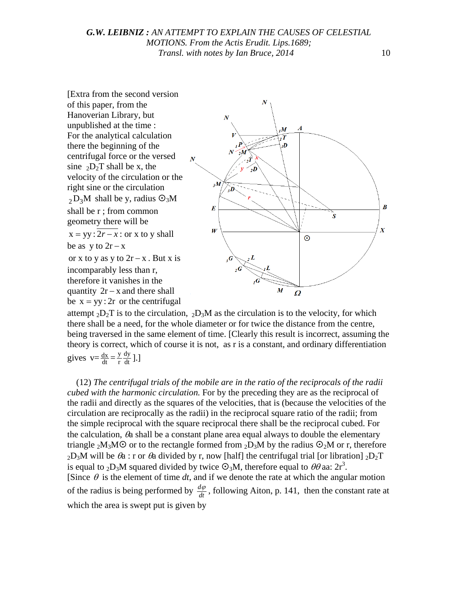

attempt  $_2D_2T$  is to the circulation,  $_2D_3M$  as the circulation is to the velocity, for which there shall be a need, for the whole diameter or for twice the distance from the centre, being traversed in the same element of time. [Clearly this result is incorrect, assuming the theory is correct, which of course it is not, as r is a constant, and ordinary differentiation gives  $v = \frac{dx}{dt} = \frac{y}{r} \frac{dy}{dt}$ ].]

(12) *The centrifugal trials of the mobile are in the ratio of the reciprocals of the radii cubed with the harmonic circulation.* For by the preceding they are as the reciprocal of the radii and directly as the squares of the velocities, that is (because the velocities of the circulation are reciprocally as the radii) in the reciprocal square ratio of the radii; from the simple reciprocal with the square reciprocal there shall be the reciprocal cubed. For the calculation,  $\theta$ a shall be a constant plane area equal always to double the elementary triangle <sub>2</sub>M<sub>3</sub>M $\odot$  or to the rectangle formed from <sub>2</sub>D<sub>3</sub>M by the radius  $\odot$ <sub>2</sub>M or r, therefore  $2D_3M$  will be  $\theta_a$ : r or  $\theta_a$  divided by r, now [half] the centrifugal trial [or libration]  $2D_2T$ is equal to <sub>2</sub>D<sub>3</sub>M squared divided by twice  $\Theta_3M$ , therefore equal to  $\theta\theta$  aa: 2r<sup>3</sup>. [Since  $\theta$  is the element of time *dt*, and if we denote the rate at which the angular motion of the radius is being performed by  $\frac{d\varphi}{dt}$ , following Aiton, p. 141, then the constant rate at which the area is swept put is given by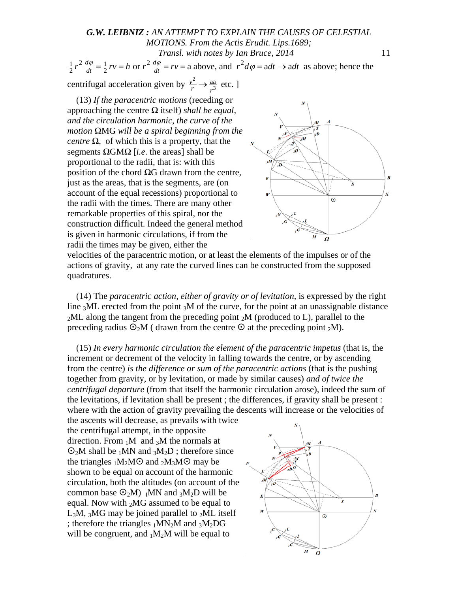# *G.W. LEIBNIZ : AN ATTEMPT TO EXPLAIN THE CAUSES OF CELESTIAL MOTIONS. From the Actis Erudit. Lips.1689; Transl. with notes by Ian Bruce, 2014* 11  $\frac{1}{2}r^2 \frac{d\varphi}{dt} = \frac{1}{2}rv = h$  or  $r^2 \frac{d\varphi}{dt} = rv = a$  above, and  $r^2 d\varphi = adt \rightarrow adt$  as above; hence the

centrifugal acceleration given by  $\frac{v^2}{r}$  $\frac{v^2}{r} \rightarrow \frac{aa}{r^3}$  etc. ]

(13) *If the paracentric motions* (receding or approaching the centre *Ω* itself) *shall be equal, and the circulation harmonic*, *the curve of the motion Ω*MG *will be a spiral beginning from the centre*  $\Omega$ , of which this is a property, that the segments *Ω*GM*Ω* [*i.e*. the areas] shall be proportional to the radii*,* that is: with this position of the chord *Ω*G drawn from the centre, just as the areas, that is the segments, are (on account of the equal recessions) proportional to the radii with the times. There are many other remarkable properties of this spiral, nor the construction difficult. Indeed the general method is given in harmonic circulations, if from the radii the times may be given, either the



velocities of the paracentric motion, or at least the elements of the impulses or of the actions of gravity, at any rate the curved lines can be constructed from the supposed quadratures.

(14) The *paracentric action, either of gravity or of levitation*, is expressed by the right line  $3ML$  erected from the point  $3M$  of the curve, for the point at an unassignable distance  $_2$ ML along the tangent from the preceding point  $_2$ M (produced to L), parallel to the preceding radius  $\mathcal{O}_2M$  ( drawn from the centre  $\mathcal O$  at the preceding point  $_2M$ ).

(15) *In every harmonic circulation the element of the paracentric impetus* (that is, the increment or decrement of the velocity in falling towards the centre, or by ascending from the centre) *is the difference or sum of the paracentric actions* (that is the pushing together from gravity, or by levitation, or made by similar causes) *and of twice the centrifugal departure* (from that itself the harmonic circulation arose), indeed the sum of the levitations, if levitation shall be present ; the differences, if gravity shall be present : where with the action of gravity prevailing the descents will increase or the velocities of

the ascents will decrease, as prevails with twice the centrifugal attempt, in the opposite direction. From  $1M$  and  $3M$  the normals at  $\mathcal{O}_2M$  shall be  $_1MN$  and  $_3M_2D$  ; therefore since the triangles  $1M_2M\odot$  and  $2M_3M\odot$  may be shown to be equal on account of the harmonic circulation, both the altitudes (on account of the common base  $\odot_2 M$ ) IMN and  $_3M_2D$  will be equal. Now with  ${}_{2}MG$  assumed to be equal to  $L_3M$ ,  $_3MG$  may be joined parallel to  $_2ML$  itself ; therefore the triangles  $_1MN_2M$  and  $_3M_2DG$ will be congruent, and  $_1M_2M$  will be equal to

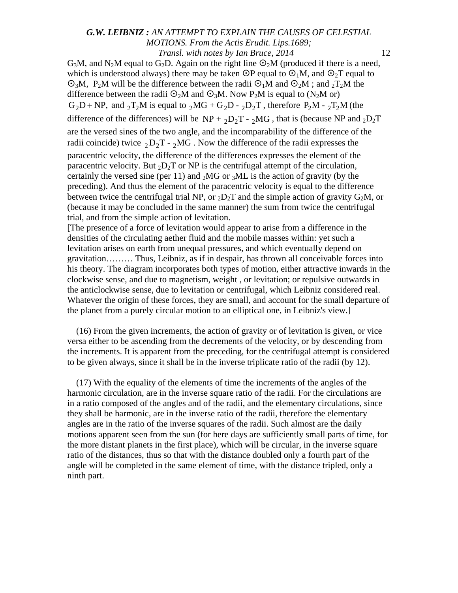$G_3M$ , and N<sub>2</sub>M equal to  $G_2D$ . Again on the right line  $O_2M$  (produced if there is a need, which is understood always) there may be taken  $\mathcal{O}P$  equal to  $\mathcal{O}_1M$ , and  $\mathcal{O}_2T$  equal to  $\mathcal{O}_3M$ , P<sub>2</sub>M will be the difference between the radii  $\mathcal{O}_1M$  and  $\mathcal{O}_2M$ ; and  ${}_2T_2M$  the difference between the radii  $\mathcal{O}_2M$  and  $\mathcal{O}_3M$ . Now P<sub>2</sub>M is equal to (N<sub>2</sub>M or)  $G_2D + NP$ , and  $T_2M$  is equal to  $T_2MG + G_2D - T_2D_2T$ , therefore  $P_2M - T_2M$  (the difference of the differences) will be NP +  $_2D_2T - _2MG$ , that is (because NP and  $_2D_2T$ are the versed sines of the two angle, and the incomparability of the difference of the radii coincide) twice  $_2D_2T - _2MG$ . Now the difference of the radii expresses the paracentric velocity, the difference of the differences expresses the element of the paracentric velocity. But  $_2D_2T$  or NP is the centrifugal attempt of the circulation, certainly the versed sine (per 11) and  $_2$ MG or  $_3$ ML is the action of gravity (by the preceding). And thus the element of the paracentric velocity is equal to the difference between twice the centrifugal trial NP, or  $_2D_2T$  and the simple action of gravity  $G_2M$ , or (because it may be concluded in the same manner) the sum from twice the centrifugal trial, and from the simple action of levitation.

[The presence of a force of levitation would appear to arise from a difference in the densities of the circulating aether fluid and the mobile masses within: yet such a levitation arises on earth from unequal pressures, and which eventually depend on gravitation……… Thus, Leibniz, as if in despair, has thrown all conceivable forces into his theory. The diagram incorporates both types of motion, either attractive inwards in the clockwise sense, and due to magnetism, weight , or levitation; or repulsive outwards in the anticlockwise sense, due to levitation or centrifugal, which Leibniz considered real. Whatever the origin of these forces, they are small, and account for the small departure of the planet from a purely circular motion to an elliptical one, in Leibniz's view.]

(16) From the given increments, the action of gravity or of levitation is given, or vice versa either to be ascending from the decrements of the velocity, or by descending from the increments. It is apparent from the preceding, for the centrifugal attempt is considered to be given always, since it shall be in the inverse triplicate ratio of the radii (by 12).

(17) With the equality of the elements of time the increments of the angles of the harmonic circulation, are in the inverse square ratio of the radii. For the circulations are in a ratio composed of the angles and of the radii, and the elementary circulations, since they shall be harmonic, are in the inverse ratio of the radii, therefore the elementary angles are in the ratio of the inverse squares of the radii. Such almost are the daily motions apparent seen from the sun (for here days are sufficiently small parts of time, for the more distant planets in the first place), which will be circular, in the inverse square ratio of the distances, thus so that with the distance doubled only a fourth part of the angle will be completed in the same element of time, with the distance tripled, only a ninth part.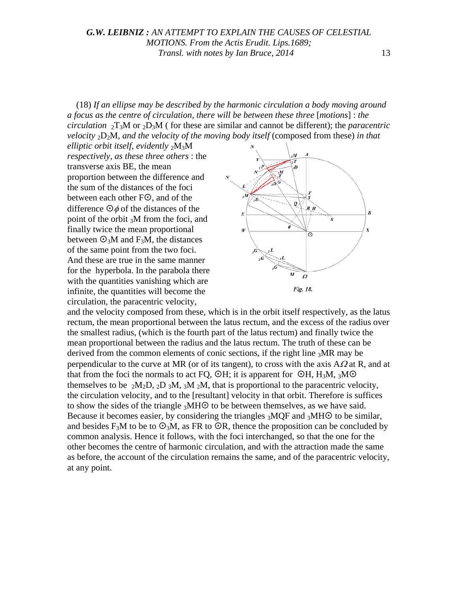(18) *If an ellipse may be described by the harmonic circulation a body moving around a focus as the centre of circulation, there will be between these three* [*motions*] : *the circulation*  ${}_{2}T_{3}M$  or  ${}_{2}D_{3}M$  ( for these are similar and cannot be different); the *paracentric velocity* 2D2M, *and the velocity of the moving body itself* (composed from these) *in that*

*elliptic orbit itself, evidently* 2M3M *respectively, as these three others* : the transverse axis BE, the mean proportion between the difference and the sum of the distances of the foci between each other  $F\odot$ , and of the difference  $\Theta \phi$  of the distances of the point of the orbit 3M from the foci, and finally twice the mean proportional between  $\mathcal{O}_3M$  and F<sub>3</sub>M, the distances of the same point from the two foci. And these are true in the same manner for the hyperbola. In the parabola there with the quantities vanishing which are infinite, the quantities will become the circulation, the paracentric velocity,



and the velocity composed from these, which is in the orbit itself respectively, as the latus rectum, the mean proportional between the latus rectum, and the excess of the radius over the smallest radius, (which is the fourth part of the latus rectum) and finally twice the mean proportional between the radius and the latus rectum. The truth of these can be derived from the common elements of conic sections, if the right line  ${}_{3}MR$  may be perpendicular to the curve at MR (or of its tangent), to cross with the axis  $A\Omega$  at R, and at that from the foci the normals to act FQ,  $\circ$ H; it is apparent for  $\circ$ H, H<sub>3</sub>M, <sub>3</sub>M $\circ$ themselves to be  $_2M_2D$ ,  $_2D_3M$ ,  $_3M_2M$ , that is proportional to the paracentric velocity, the circulation velocity, and to the [resultant] velocity in that orbit. Therefore is suffices to show the sides of the triangle  $_3$ MH $\odot$  to be between themselves, as we have said. Because it becomes easier, by considering the triangles  $_3MQF$  and  $_3MHO$  to be similar, and besides F<sub>3</sub>M to be to  $\mathcal{O}_3M$ , as FR to  $\mathcal{O}_3R$ , thence the proposition can be concluded by common analysis. Hence it follows, with the foci interchanged, so that the one for the other becomes the centre of harmonic circulation, and with the attraction made the same as before, the account of the circulation remains the same, and of the paracentric velocity, at any point.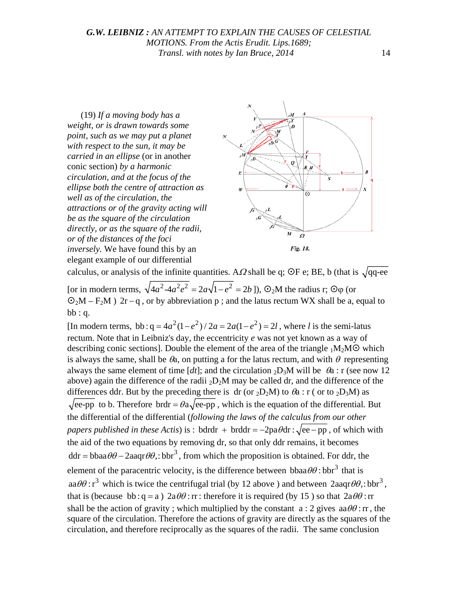(19) *If a moving body has a weight, or is drawn towards some point, such as we may put a planet with respect to the sun, it may be carried in an ellipse* (or in another conic section) *by a harmonic circulation, and at the focus of the ellipse both the centre of attraction as well as of the circulation, the attractions or of the gravity acting will be as the square of the circulation directly, or as the square of the radii, or of the distances of the foci inversely.* We have found this by an elegant example of our differential



calculus, or analysis of the infinite quantities. A $\Omega$  shall be q; OF e; BE, b (that is  $\sqrt{qq}$ -ee [or in modern terms,  $\sqrt{4a^2-4a^2e^2} = 2a\sqrt{1-e^2} = 2b$ ]),  $\odot_2 M$  the radius r:  $\odot_0$  (or  $\mathcal{O}_2M - F_2M$  ) 2r – q, or by abbreviation p; and the latus rectum WX shall be a, equal to  $bb:q$ .

[In modern terms, bb :  $q = 4a^2(1 - e^2)/2a = 2a(1 - e^2) = 2l$ , where *l* is the semi-latus rectum. Note that in Leibniz's day, the eccentricity *e* was not yet known as a way of describing conic sections]. Double the element of the area of the triangle  $_1M_2MO$  which is always the same, shall be  $\theta_a$ , on putting a for the latus rectum, and with  $\theta$  representing always the same element of time  $[dt]$ ; and the circulation <sub>2</sub>D<sub>3</sub>M will be  $\theta$ a : r (see now 12) above) again the difference of the radii  $_2D_2M$  may be called dr, and the difference of the differences ddr. But by the preceding there is dr (or  $_2D_2M$ ) to  $\theta$ a : r ( or to  $_2D_3M$ ) as  $\sqrt{\text{ee-pp}}$  to b. Therefore brdr =  $\theta$ a $\sqrt{\text{ee-pp}}$ , which is the equation of the differential. But the differential of the differential (*following the laws of the calculus from our other papers published in these Actis*) is : bdrdr + brddr =  $-2pa\theta dr$  :  $\sqrt{ee - pp}$ , of which with the aid of the two equations by removing dr, so that only ddr remains, it becomes  $ddr = bbaa\theta\theta - 2aaqr\theta\theta$ ,:  $bbr^3$ , from which the proposition is obtained. For ddr, the element of the paracentric velocity, is the difference between  $bbaa\theta\theta$ : bbr<sup>3</sup> that is  $aa\theta\theta$ :  $r^3$  which is twice the centrifugal trial (by 12 above) and between  $2aaqr\theta\theta$ .: bbr<sup>3</sup>. that is (because bb : q = a)  $2a\theta\theta$  : rr : therefore it is required (by 15) so that  $2a\theta\theta$  : rr shall be the action of gravity ; which multiplied by the constant  $a : 2$  gives  $a \theta \theta$ : rr, the square of the circulation. Therefore the actions of gravity are directly as the squares of the circulation, and therefore reciprocally as the squares of the radii. The same conclusion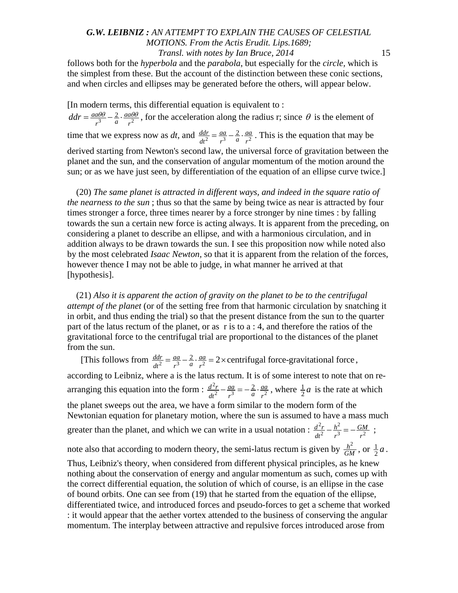follows both for the *hyperbola* and the *parabola*, but especially for the *circle,* which is the simplest from these. But the account of the distinction between these conic sections, and when circles and ellipses may be generated before the others, will appear below.

[In modern terms, this differential equation is equivalent to :  $ddr = \frac{aa\theta\theta}{r^3} - \frac{2}{a} \cdot \frac{aa\theta\theta}{r^2}$ , for the acceleration along the radius r; since  $\theta$  is the element of time that we express now as *dt*, and  $\frac{ddr}{dt^2} = \frac{aa}{r^3} - \frac{2}{a} \cdot \frac{aa}{r^2}$ . This is the equation that may be derived starting from Newton's second law, the universal force of gravitation between the planet and the sun, and the conservation of angular momentum of the motion around the sun; or as we have just seen, by differentiation of the equation of an ellipse curve twice.]

(20) *The same planet is attracted in different ways, and indeed in the square ratio of the nearness to the sun* ; thus so that the same by being twice as near is attracted by four times stronger a force, three times nearer by a force stronger by nine times : by falling towards the sun a certain new force is acting always. It is apparent from the preceding, on considering a planet to describe an ellipse, and with a harmonious circulation, and in addition always to be drawn towards the sun. I see this proposition now while noted also by the most celebrated *Isaac Newton,* so that it is apparent from the relation of the forces, however thence I may not be able to judge, in what manner he arrived at that [hypothesis].

(21) *Also it is apparent the action of gravity on the planet to be to the centrifugal attempt of the planet* (or of the setting free from that harmonic circulation by snatching it in orbit, and thus ending the trial) so that the present distance from the sun to the quarter part of the latus rectum of the planet, or as r is to a : 4, and therefore the ratios of the gravitational force to the centrifugal trial are proportional to the distances of the planet from the sun.

[This follows from  $\frac{ddr}{dt^2} = \frac{aa}{r^3} - \frac{2}{a} \cdot \frac{aa}{r^2} = 2 \times$  centrifugal force-gravitational force, according to Leibniz, where a is the latus rectum. It is of some interest to note that on rearranging this equation into the form :  $\frac{d^2}{dt^2}$  $\frac{d^2r}{dt^2} - \frac{aa}{r^3} = -\frac{2}{a} \cdot \frac{aa}{r^2}$ , where  $\frac{1}{2}a$  is the rate at which the planet sweeps out the area, we have a form similar to the modern form of the Newtonian equation for planetary motion, where the sun is assumed to have a mass much greater than the planet, and which we can write in a usual notation :  $\frac{d^2r}{dt^2} - \frac{h^2}{3}$  $rac{d^2r}{dt^2} - \frac{h^2}{r^3} = -\frac{GM}{r^2}$ ;

note also that according to modern theory, the semi-latus rectum is given by  $\frac{h^2}{GM}$ , or  $\frac{1}{2}a$ . Thus, Leibniz's theory, when considered from different physical principles, as he knew nothing about the conservation of energy and angular momentum as such, comes up with the correct differential equation, the solution of which of course, is an ellipse in the case of bound orbits. One can see from (19) that he started from the equation of the ellipse, differentiated twice, and introduced forces and pseudo-forces to get a scheme that worked : it would appear that the aether vortex attended to the business of conserving the angular momentum. The interplay between attractive and repulsive forces introduced arose from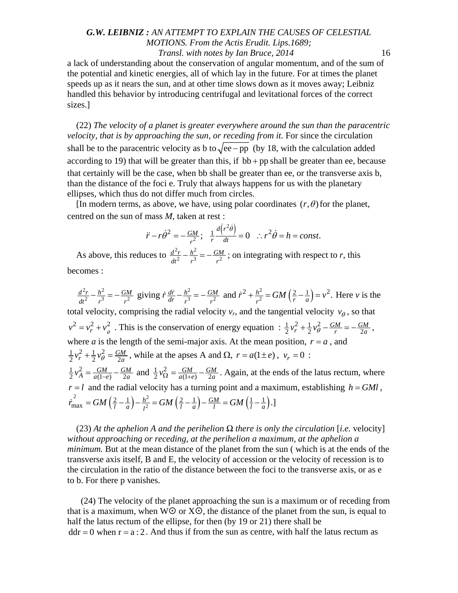a lack of understanding about the conservation of angular momentum, and of the sum of the potential and kinetic energies, all of which lay in the future. For at times the planet speeds up as it nears the sun, and at other time slows down as it moves away; Leibniz handled this behavior by introducing centrifugal and levitational forces of the correct sizes.]

(22) *The velocity of a planet is greater everywhere around the sun than the paracentric velocity, that is by approaching the sun, or receding from it. For since the circulation* shall be to the paracentric velocity as b to  $\sqrt{ee - pp}$  (by 18, with the calculation added according to 19) that will be greater than this, if  $bb + pp$  shall be greater than ee, because that certainly will be the case, when bb shall be greater than ee, or the transverse axis b, than the distance of the foci e. Truly that always happens for us with the planetary ellipses, which thus do not differ much from circles.

[In modern terms, as above, we have, using polar coordinates  $(r, \theta)$  for the planet, centred on the sun of mass *M*, taken at rest :

$$
\ddot{r} - r\dot{\theta}^2 = -\frac{GM}{r^2}; \quad \frac{1}{r}\frac{d(r^2\dot{\theta})}{dt} = 0 \quad \therefore r^2\dot{\theta} = h = const.
$$

As above, this reduces to  $\frac{d^2r}{dt^2} - \frac{h^2}{3}$  $\frac{d^2r}{dt^2} - \frac{h^2}{r^3} = -\frac{GM}{r^2}$ ; on integrating with respect to *r*, this becomes :

 $\frac{d^2r}{dt^2} - \frac{h^2}{r^3} = -\frac{GM}{r^2}$  giving  $\dot{r}\frac{dr}{dr} - \frac{h^2}{r^3} = -\frac{GM}{r^2}$  and  $\dot{r}^2 + \frac{h^2}{r^2} = GM\left(\frac{2}{r} - \frac{1}{a}\right) = v^2$ . Here *v* is the total velocity, comprising the radial velocity  $v_r$ , and the tangential velocity  $v_\theta$ , so that  $v^2 = v_r^2 + v_\theta^2$ . This is the conservation of energy equation :  $\frac{1}{2}v_r^2 + \frac{1}{2}v_\theta^2 - \frac{GM}{r} = -\frac{GM}{2a}$ , where *a* is the length of the semi-major axis. At the mean position,  $r = a$ , and  $1v^2 + 1v^2$  $\frac{1}{2}v_r^2 + \frac{1}{2}v_\theta^2 = \frac{GM}{2a}$ , while at the apses A and  $\Omega$ ,  $r = a(1 \pm e)$ ,  $v_r = 0$ :  $\frac{1}{2}v_A^2 = \frac{GM}{a(1-e)} - \frac{GM}{2a}$  and  $\frac{1}{2}v_{\Omega}^2 = \frac{GM}{a(1+e)} - \frac{GM}{2a}$ . Again, at the ends of the latus rectum, where  $r = l$  and the radial velocity has a turning point and a maximum, establishing  $h = GMI$ ,  $\dot{r}_{\text{max}}^2 = GM\left(\frac{2}{l} - \frac{1}{a}\right) - \frac{h^2}{l^2} = GM\left(\frac{2}{l} - \frac{1}{a}\right) - \frac{GM}{l} = GM\left(\frac{1}{l} - \frac{1}{a}\right).$ 

(23) *At the aphelion A and the perihelion Ω there is only the circulation* [*i.e.* velocity] *without approaching or receding, at the perihelion a maximum, at the aphelion a minimum.* But at the mean distance of the planet from the sun ( which is at the ends of the transverse axis itself, B and E, the velocity of accession or the velocity of recession is to the circulation in the ratio of the distance between the foci to the transverse axis, or as e to b. For there p vanishes.

(24) The velocity of the planet approaching the sun is a maximum or of receding from that is a maximum, when  $W\odot$  or  $X\odot$ , the distance of the planet from the sun, is equal to half the latus rectum of the ellipse, for then (by 19 or 21) there shall be  $ddr = 0$  when  $r = a : 2$ . And thus if from the sun as centre, with half the latus rectum as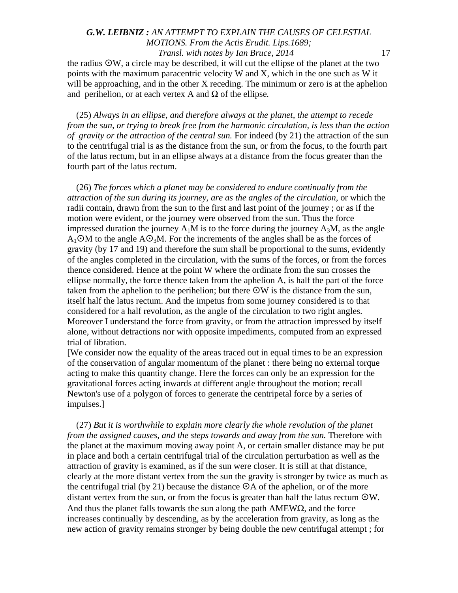the radius  $\Im$ W, a circle may be described, it will cut the ellipse of the planet at the two points with the maximum paracentric velocity W and X, which in the one such as W it will be approaching, and in the other X receding. The minimum or zero is at the aphelion and perihelion, or at each vertex A and *Ω* of the ellipse*.*

(25) *Always in an ellipse, and therefore always at the planet, the attempt to recede from the sun, or trying to break free from the harmonic circulation, is less than the action of gravity or the attraction of the central sun.* For indeed (by 21) the attraction of the sun to the centrifugal trial is as the distance from the sun, or from the focus, to the fourth part of the latus rectum, but in an ellipse always at a distance from the focus greater than the fourth part of the latus rectum.

(26) *The forces which a planet may be considered to endure continually from the attraction of the sun during its journey, are as the angles of the circulation,* or which the radii contain, drawn from the sun to the first and last point of the journey ; or as if the motion were evident, or the journey were observed from the sun. Thus the force impressed duration the journey  $A_1M$  is to the force during the journey  $A_3M$ , as the angle  $A_1 \odot M$  to the angle  $A \odot_3 M$ . For the increments of the angles shall be as the forces of gravity (by 17 and 19) and therefore the sum shall be proportional to the sums, evidently of the angles completed in the circulation, with the sums of the forces, or from the forces thence considered. Hence at the point W where the ordinate from the sun crosses the ellipse normally, the force thence taken from the aphelion A, is half the part of the force taken from the aphelion to the perihelion; but there  $\mathcal{O}W$  is the distance from the sun, itself half the latus rectum. And the impetus from some journey considered is to that considered for a half revolution, as the angle of the circulation to two right angles. Moreover I understand the force from gravity, or from the attraction impressed by itself alone, without detractions nor with opposite impediments, computed from an expressed trial of libration.

[We consider now the equality of the areas traced out in equal times to be an expression of the conservation of angular momentum of the planet : there being no external torque acting to make this quantity change. Here the forces can only be an expression for the gravitational forces acting inwards at different angle throughout the motion; recall Newton's use of a polygon of forces to generate the centripetal force by a series of impulses.]

(27) *But it is worthwhile to explain more clearly the whole revolution of the planet from the assigned causes, and the steps towards and away from the sun.* Therefore with the planet at the maximum moving away point A, or certain smaller distance may be put in place and both a certain centrifugal trial of the circulation perturbation as well as the attraction of gravity is examined, as if the sun were closer. It is still at that distance, clearly at the more distant vertex from the sun the gravity is stronger by twice as much as the centrifugal trial (by 21) because the distance  $\Theta A$  of the aphelion, or of the more distant vertex from the sun, or from the focus is greater than half the latus rectum  $\Theta W$ . And thus the planet falls towards the sun along the path  $AMEWO$ , and the force increases continually by descending, as by the acceleration from gravity, as long as the new action of gravity remains stronger by being double the new centrifugal attempt ; for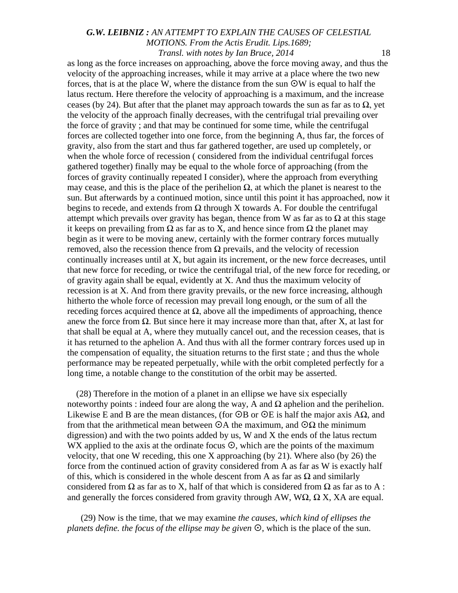as long as the force increases on approaching, above the force moving away, and thus the velocity of the approaching increases, while it may arrive at a place where the two new forces, that is at the place W, where the distance from the sun  $\mathcal{O}W$  is equal to half the latus rectum. Here therefore the velocity of approaching is a maximum, and the increase ceases (by 24). But after that the planet may approach towards the sun as far as to  $\Omega$ , yet the velocity of the approach finally decreases, with the centrifugal trial prevailing over the force of gravity ; and that may be continued for some time, while the centrifugal forces are collected together into one force, from the beginning A, thus far, the forces of gravity, also from the start and thus far gathered together, are used up completely, or when the whole force of recession ( considered from the individual centrifugal forces gathered together) finally may be equal to the whole force of approaching (from the forces of gravity continually repeated I consider), where the approach from everything may cease, and this is the place of the perihelion  $\Omega$ , at which the planet is nearest to the sun. But afterwards by a continued motion, since until this point it has approached, now it begins to recede, and extends from  $\Omega$  through X towards A. For double the centrifugal attempt which prevails over gravity has began, thence from W as far as to  $\Omega$  at this stage it keeps on prevailing from  $\Omega$  as far as to X, and hence since from  $\Omega$  the planet may begin as it were to be moving anew, certainly with the former contrary forces mutually removed, also the recession thence from Ω prevails, and the velocity of recession continually increases until at X, but again its increment, or the new force decreases, until that new force for receding, or twice the centrifugal trial, of the new force for receding, or of gravity again shall be equal, evidently at X. And thus the maximum velocity of recession is at X. And from there gravity prevails, or the new force increasing, although hitherto the whole force of recession may prevail long enough, or the sum of all the receding forces acquired thence at  $Ω$ , above all the impediments of approaching, thence anew the force from  $\Omega$ . But since here it may increase more than that, after X, at last for that shall be equal at A, where they mutually cancel out, and the recession ceases, that is it has returned to the aphelion A. And thus with all the former contrary forces used up in the compensation of equality, the situation returns to the first state ; and thus the whole performance may be repeated perpetually, while with the orbit completed perfectly for a long time, a notable change to the constitution of the orbit may be asserted.

(28) Therefore in the motion of a planet in an ellipse we have six especially noteworthy points : indeed four are along the way, A and  $Ω$  aphelion and the perihelion. Likewise E and B are the mean distances, (for  $\odot$ B or  $\odot$ E is half the major axis A $\Omega$ , and from that the arithmetical mean between  $\Theta A$  the maximum, and  $\Theta \Omega$  the minimum digression) and with the two points added by us, W and X the ends of the latus rectum WX applied to the axis at the ordinate focus  $\odot$ , which are the points of the maximum velocity, that one W receding, this one X approaching (by 21). Where also (by 26) the force from the continued action of gravity considered from A as far as W is exactly half of this, which is considered in the whole descent from A as far as  $\Omega$  and similarly considered from  $\Omega$  as far as to X, half of that which is considered from  $\Omega$  as far as to A : and generally the forces considered from gravity through AW, WΩ*,* Ω X, XA are equal.

(29) Now is the time, that we may examine *the causes, which kind of ellipses the planets define. the focus of the ellipse may be given*  $\odot$ , which is the place of the sun.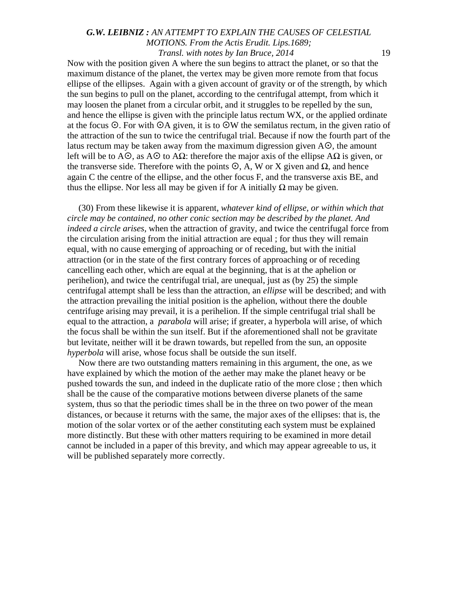Now with the position given A where the sun begins to attract the planet, or so that the maximum distance of the planet, the vertex may be given more remote from that focus ellipse of the ellipses. Again with a given account of gravity or of the strength, by which the sun begins to pull on the planet, according to the centrifugal attempt, from which it may loosen the planet from a circular orbit, and it struggles to be repelled by the sun, and hence the ellipse is given with the principle latus rectum WX, or the applied ordinate at the focus  $\odot$ . For with  $\odot$ A given, it is to  $\odot$ W the semilatus rectum, in the given ratio of the attraction of the sun to twice the centrifugal trial. Because if now the fourth part of the latus rectum may be taken away from the maximum digression given  $A\odot$ , the amount left will be to A $\odot$ , as A $\odot$  to A $\Omega$ : therefore the major axis of the ellipse A $\Omega$  is given, or the transverse side. Therefore with the points  $\mathcal{O}$ , A, W or X given and  $\Omega$ , and hence again C the centre of the ellipse, and the other focus F, and the transverse axis BE, and thus the ellipse. Nor less all may be given if for A initially  $Ω$  may be given.

(30) From these likewise it is apparent, *whatever kind of ellipse, or within which that circle may be contained, no other conic section may be described by the planet. And indeed a circle arises*, when the attraction of gravity, and twice the centrifugal force from the circulation arising from the initial attraction are equal ; for thus they will remain equal, with no cause emerging of approaching or of receding, but with the initial attraction (or in the state of the first contrary forces of approaching or of receding cancelling each other, which are equal at the beginning, that is at the aphelion or perihelion), and twice the centrifugal trial, are unequal, just as (by 25) the simple centrifugal attempt shall be less than the attraction, an *ellipse* will be described; and with the attraction prevailing the initial position is the aphelion, without there the double centrifuge arising may prevail, it is a perihelion. If the simple centrifugal trial shall be equal to the attraction, a *parabola* will arise; if greater, a hyperbola will arise, of which the focus shall be within the sun itself. But if the aforementioned shall not be gravitate but levitate, neither will it be drawn towards, but repelled from the sun, an opposite *hyperbola* will arise, whose focus shall be outside the sun itself.

Now there are two outstanding matters remaining in this argument, the one, as we have explained by which the motion of the aether may make the planet heavy or be pushed towards the sun, and indeed in the duplicate ratio of the more close ; then which shall be the cause of the comparative motions between diverse planets of the same system, thus so that the periodic times shall be in the three on two power of the mean distances, or because it returns with the same, the major axes of the ellipses: that is, the motion of the solar vortex or of the aether constituting each system must be explained more distinctly. But these with other matters requiring to be examined in more detail cannot be included in a paper of this brevity, and which may appear agreeable to us, it will be published separately more correctly.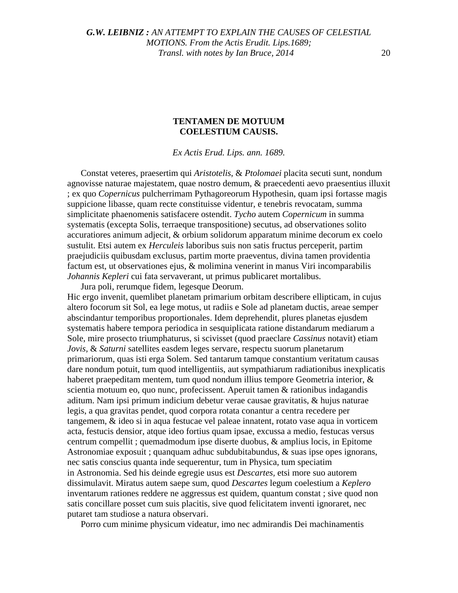#### **TENTAMEN DE MOTUUM COELESTIUM CAUSIS.**

*Ex Actis Erud. Lips. ann. 1689.*

Constat veteres, praesertim qui *Aristotelis*, & *Ptolomaei* placita secuti sunt, nondum agnovisse naturae majestatem, quae nostro demum, & praecedenti aevo praesentius illuxit ; ex quo *Copernicus* pulcherrimam Pythagoreorum Hypothesin, quam ipsi fortasse magis suppicione libasse, quam recte constituisse videntur, e tenebris revocatam, summa simplicitate phaenomenis satisfacere ostendit. *Tycho* autem *Copernicum* in summa systematis (excepta Solis, terraeque transpositione) secutus, ad observationes solito accuratiores animum adjecit, & orbium solidorum apparatum minime decorum ex coelo sustulit. Etsi autem ex *Herculeis* laboribus suis non satis fructus perceperit, partim praejudiciis quibusdam exclusus, partim morte praeventus, divina tamen providentia factum est, ut observationes ejus, & molimina venerint in manus Viri incomparabilis *Johannis Kepleri* cui fata servaverant, ut primus publicaret mortalibus.

Jura poli, rerumque fidem, legesque Deorum.

Hic ergo invenit, quemlibet planetam primarium orbitam describere ellipticam, in cujus altero focorum sit Sol, ea lege motus, ut radiis e Sole ad planetam ductis, areae semper abscindantur temporibus proportionales. Idem deprehendit, plures planetas ejusdem systematis habere tempora periodica in sesquiplicata ratione distandarum mediarum a Sole, mire prosecto triumphaturus, si scivisset (quod praeclare *Cassinus* notavit) etiam *Jovis,* & *Saturni* satellites easdem leges servare, respectu suorum planetarum primariorum, quas isti erga Solem. Sed tantarum tamque constantium veritatum causas dare nondum potuit, tum quod intelligentiis, aut sympathiarum radiationibus inexplicatis haberet praepeditam mentem, tum quod nondum illius tempore Geometria interior,  $\&$ scientia motuum eo, quo nunc, profecissent. Aperuit tamen & rationibus indagandis aditum. Nam ipsi primum indicium debetur verae causae gravitatis, & hujus naturae legis, a qua gravitas pendet, quod corpora rotata conantur a centra recedere per tangemem, & ideo si in aqua festucae vel paleae innatent, rotato vase aqua in vorticem acta, festucis densior, atque ideo fortius quam ipsae, excussa a medio, festucas versus centrum compellit ; quemadmodum ipse diserte duobus, & amplius locis, in Epitome Astronomiae exposuit ; quanquam adhuc subdubitabundus, & suas ipse opes ignorans, nec satis conscius quanta inde sequerentur, tum in Physica, tum speciatim in Astronomia. Sed his deinde egregie usus est *Descartes,* etsi more suo autorem dissimulavit. Miratus autem saepe sum, quod *Descartes* legum coelestium a *Keplero*  inventarum rationes reddere ne aggressus est quidem, quantum constat ; sive quod non satis concillare posset cum suis placitis, sive quod felicitatem inventi ignoraret, nec putaret tam studiose a natura observari.

Porro cum minime physicum videatur, imo nec admirandis Dei machinamentis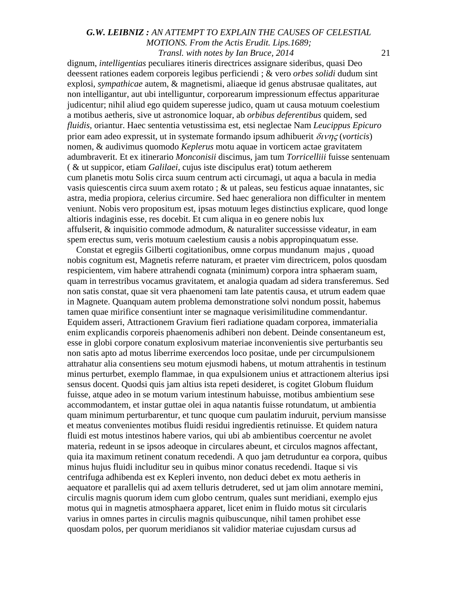dignum, *intelligentias* peculiares itineris directrices assignare sideribus, quasi Deo deessent rationes eadem corporeis legibus perficiendi ; & vero *orbes solidi* dudum sint explosi, *sympathicae* autem, & magnetismi, aliaeque id genus abstrusae qualitates, aut non intelligantur, aut ubi intelliguntur, corporearum impressionum effectus appariturae judicentur; nihil aliud ego quidem superesse judico, quam ut causa motuum coelestium a motibus aetheris, sive ut astronomice loquar, ab *orbibus deferentibus* quidem, sed *fluidis,* oriantur. Haec sententia vetustissima est, etsi neglectae Nam *Leucippus Epicuro*  prior eam adeo expressit, ut in systemate formando ipsum adhibuerit δινης (*vorticis*) nomen, & audivimus quomodo *Keplerus* motu aquae in vorticem actae gravitatem adumbraverit. Et ex itinerario *Monconisii* discimus, jam tum *Torricelliii* fuisse sentenuam ( & ut suppicor, etiam *Galilaei,* cujus iste discipulus erat) totum aetherem cum planetis motu Solis circa suum centrum acti circumagi, ut aqua a bacula in media vasis quiescentis circa suum axem rotato ; & ut paleas, seu festicus aquae innatantes, sic astra, media propiora, celerius circumire. Sed haec generaliora non difficulter in mentem veniunt. Nobis vero propositum est, ipsas motuum leges distinctius explicare, quod longe altioris indaginis esse, res docebit. Et cum aliqua in eo genere nobis lux affulserit, & inquisitio commode admodum, & naturaliter successisse videatur, in eam spem erectus sum, veris motuum caelestium causis a nobis appropinquatum esse.

Constat et egregiis Gilberti cogitationibus, omne corpus mundanum majus , quoad nobis cognitum est, Magnetis referre naturam, et praeter vim directricem, polos quosdam respicientem, vim habere attrahendi cognata (minimum) corpora intra sphaeram suam, quam in terrestribus vocamus gravitatem, et analogia quadam ad sidera transferemus. Sed non satis constat, quae sit vera phaenomeni tam late patentis causa, et utrum eadem quae in Magnete. Quanquam autem problema demonstratione solvi nondum possit, habemus tamen quae mirifice consentiunt inter se magnaque verisimilitudine commendantur. Equidem asseri, Attractionem Gravium fieri radiatione quadam corporea, immaterialia enim explicandis corporeis phaenomenis adhiberi non debent. Deinde consentaneum est, esse in globi corpore conatum explosivum materiae inconvenientis sive perturbantis seu non satis apto ad motus liberrime exercendos loco positae, unde per circumpulsionem attrahatur alia consentiens seu motum ejusmodi habens, ut motum attrahentis in testinum minus perturbet, exemplo flammae, in qua expulsionem unius et attractionem alterius ipsi sensus docent. Quodsi quis jam altius ista repeti desideret, is cogitet Globum fluidum fuisse, atque adeo in se motum varium intestinum habuisse, motibus ambientium sese accommodantem, et instar guttae olei in aqua natantis fuisse rotundatum, ut ambientia quam minimum perturbarentur, et tunc quoque cum paulatim induruit, pervium mansisse et meatus convenientes motibus fluidi residui ingredientis retinuisse. Et quidem natura fluidi est motus intestinos habere varios, qui ubi ab ambientibus coercentur ne avolet materia, redeunt in se ipsos adeoque in circulares abeunt, et circulos magnos affectant, quia ita maximum retinent conatum recedendi. A quo jam detruduntur ea corpora, quibus minus hujus fluidi includitur seu in quibus minor conatus recedendi. Itaque si vis centrifuga adhibenda est ex Kepleri invento, non deduci debet ex motu aetheris in aequatore et parallelis qui ad axem telluris detruderet, sed ut jam olim annotare memini, circulis magnis quorum idem cum globo centrum, quales sunt meridiani, exemplo ejus motus qui in magnetis atmosphaera apparet, licet enim in fluido motus sit circularis varius in omnes partes in circulis magnis quibuscunque, nihil tamen prohibet esse quosdam polos, per quorum meridianos sit validior materiae cujusdam cursus ad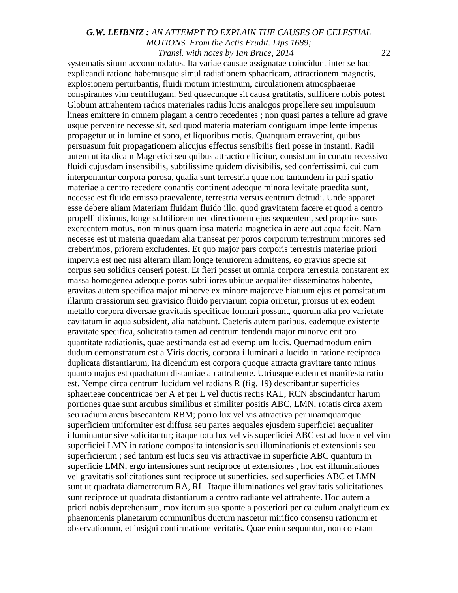systematis situm accommodatus. Ita variae causae assignatae coincidunt inter se hac explicandi ratione habemusque simul radiationem sphaericam, attractionem magnetis, explosionem perturbantis, fluidi motum intestinum, circulationem atmosphaerae conspirantes vim centrifugam. Sed quaecunque sit causa gratitatis, sufficere nobis potest Globum attrahentem radios materiales radiis lucis analogos propellere seu impulsuum lineas emittere in omnem plagam a centro recedentes ; non quasi partes a tellure ad grave usque pervenire necesse sit, sed quod materia materiam contiguam impellente impetus propagetur ut in lumine et sono, et liquoribus motis. Quanquam erraverint, quibus persuasum fuit propagationem alicujus effectus sensibilis fieri posse in instanti. Radii autem ut ita dicam Magnetici seu quibus attractio efficitur, consistunt in conatu recessivo fluidi cujusdam insensibilis, subtilissime quidem divisibilis, sed confertissimi, cui cum interponantur corpora porosa, qualia sunt terrestria quae non tantundem in pari spatio materiae a centro recedere conantis continent adeoque minora levitate praedita sunt, necesse est fluido emisso praevalente, terrestria versus centrum detrudi. Unde apparet esse debere aliam Materiam fluidam fluido illo, quod gravitatem facere et quod a centro propelli diximus, longe subtiliorem nec directionem ejus sequentem, sed proprios suos exercentem motus, non minus quam ipsa materia magnetica in aere aut aqua facit. Nam necesse est ut materia quaedam alia transeat per poros corporum terrestrium minores sed creberrimos, priorem excludentes. Et quo major pars corporis terrestris materiae priori impervia est nec nisi alteram illam longe tenuiorem admittens, eo gravius specie sit corpus seu solidius censeri potest. Et fieri posset ut omnia corpora terrestria constarent ex massa homogenea adeoque poros subtiliores ubique aequaliter disseminatos habente, gravitas autem specifica major minorve ex minore majoreve hiatuum ejus et porositatum illarum crassiorum seu gravisico fluido perviarum copia oriretur, prorsus ut ex eodem metallo corpora diversae gravitatis specificae formari possunt, quorum alia pro varietate cavitatum in aqua subsident, alia natabunt. Caeteris autem paribus, eademque existente gravitate specifica, solicitatio tamen ad centrum tendendi major minorve erit pro quantitate radiationis, quae aestimanda est ad exemplum lucis. Quemadmodum enim dudum demonstratum est a Viris doctis, corpora illuminari a lucido in ratione reciproca duplicata distantiarum, ita dicendum est corpora quoque attracta gravitare tanto minus quanto majus est quadratum distantiae ab attrahente. Utriusque eadem et manifesta ratio est. Nempe circa centrum lucidum vel radians R (fig. 19) describantur superficies sphaerieae concentricae per A et per L vel ductis rectis RAL, RCN abscindantur harum portiones quae sunt arcubus similibus et similiter positis ABC, LMN, rotatis circa axem seu radium arcus bisecantem RBM; porro lux vel vis attractiva per unamquamque superficiem uniformiter est diffusa seu partes aequales ejusdem superficiei aequaliter illuminantur sive solicitantur; itaque tota lux vel vis superficiei ABC est ad lucem vel vim superficiei LMN in ratione composita intensionis seu illuminationis et extensionis seu superficierum ; sed tantum est lucis seu vis attractivae in superficie ABC quantum in superficie LMN, ergo intensiones sunt reciproce ut extensiones , hoc est illuminationes vel gravitatis solicitationes sunt reciproce ut superficies, sed superficies ABC et LMN sunt ut quadrata diametrorum RA, RL. Itaque illuminationes vel gravitatis solicitationes sunt reciproce ut quadrata distantiarum a centro radiante vel attrahente. Hoc autem a priori nobis deprehensum, mox iterum sua sponte a posteriori per calculum analyticum ex phaenomenis planetarum communibus ductum nascetur mirifico consensu rationum et observationum, et insigni confirmatione veritatis. Quae enim sequuntur, non constant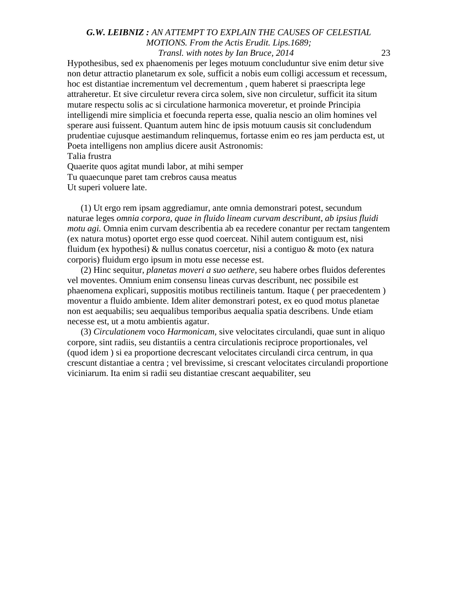Hypothesibus, sed ex phaenomenis per leges motuum concluduntur sive enim detur sive non detur attractio planetarum ex sole, sufficit a nobis eum colligi accessum et recessum, hoc est distantiae incrementum vel decrementum , quem haberet si praescripta lege attraheretur. Et sive circuletur revera circa solem, sive non circuletur, sufficit ita situm mutare respectu solis ac si circulatione harmonica moveretur, et proinde Principia intelligendi mire simplicia et foecunda reperta esse, qualia nescio an olim homines vel sperare ausi fuissent. Quantum autem hinc de ipsis motuum causis sit concludendum prudentiae cujusque aestimandum relinquemus, fortasse enim eo res jam perducta est, ut Poeta intelligens non amplius dicere ausit Astronomis: Talia frustra

Quaerite quos agitat mundi labor, at mihi semper Tu quaecunque paret tam crebros causa meatus Ut superi voluere late.

(1) Ut ergo rem ipsam aggrediamur, ante omnia demonstrari potest, secundum naturae leges *omnia corpora, quae in fluido lineam curvam describunt*, *ab ipsius fluidi motu agi.* Omnia enim curvam describentia ab ea recedere conantur per rectam tangentem (ex natura motus) oportet ergo esse quod coerceat. Nihil autem contiguum est, nisi fluidum (ex hypothesi) & nullus conatus coercetur, nisi a contiguo & moto (ex natura corporis) fluidum ergo ipsum in motu esse necesse est.

(2) Hinc sequitur, *planetas moveri a suo aethere,* seu habere orbes fluidos deferentes vel moventes. Omnium enim consensu lineas curvas describunt, nec possibile est phaenomena explicari, suppositis motibus rectilineis tantum. Itaque ( per praecedentem ) moventur a fluido ambiente. Idem aliter demonstrari potest, ex eo quod motus planetae non est aequabilis; seu aequalibus temporibus aequalia spatia describens. Unde etiam necesse est, ut a motu ambientis agatur.

(3) *Circulationem* voco *Harmonicam,* sive velocitates circulandi, quae sunt in aliquo corpore, sint radiis, seu distantiis a centra circulationis reciproce proportionales, vel (quod idem ) si ea proportione decrescant velocitates circulandi circa centrum, in qua crescunt distantiae a centra ; vel brevissime, si crescant velocitates circulandi proportione viciniarum. Ita enim si radii seu distantiae crescant aequabiliter, seu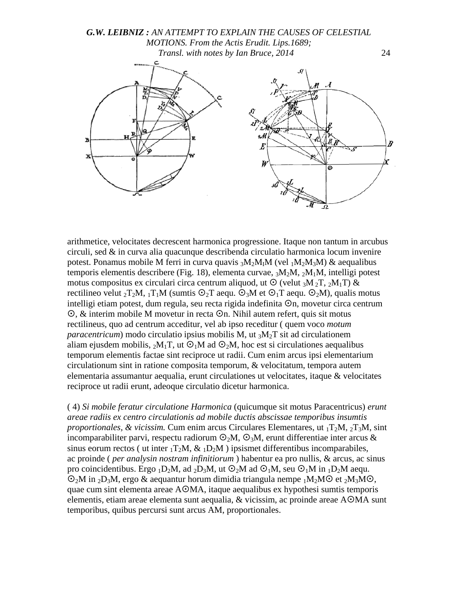



arithmetice, velocitates decrescent harmonica progressione. Itaque non tantum in arcubus circuli, sed & in curva alia quacunque describenda circulatio harmonica locum invenire potest. Ponamus mobile M ferri in curva quavis  ${}_{3}M_{2}M_{I}M$  (vel  ${}_{1}M_{2}M_{3}M$ ) & aequalibus temporis elementis describere (Fig. 18), elementa curvae,  ${}_{3}M_{2}M$ ,  ${}_{2}M_{1}M$ , intelligi potest motus compositus ex circulari circa centrum aliquod, ut  $\odot$  (velut 3M <sub>2</sub>T, 2M<sub>1</sub>T) & rectilineo velut  ${}_{2}T_{2}M$ ,  ${}_{1}T_{1}M$  (sumtis  $\odot {}_{2}T$  aequ.  $\odot {}_{3}M$  et  $\odot {}_{1}T$  aequ.  $\odot {}_{2}M$ ), qualis motus intelligi etiam potest, dum regula, seu recta rigida indefinita  $\odot$ n, movetur circa centrum  $\odot$ , & interim mobile M movetur in recta  $\odot$ n. Nihil autem refert, quis sit motus rectilineus, quo ad centrum acceditur, vel ab ipso receditur ( quem voco *motum paracentricum*) modo circulatio ipsius mobilis M, ut  ${}_{3}M_{2}T$  sit ad circulationem aliam ejusdem mobilis,  $_2M_1T$ , ut  $\Theta_1M$  ad  $\Theta_2M$ , hoc est si circulationes aequalibus temporum elementis factae sint reciproce ut radii. Cum enim arcus ipsi elementarium circulationum sint in ratione composita temporum, & velocitatum, tempora autem elementaria assumantur aequalia, erunt circulationes ut velocitates, itaque & velocitates reciproce ut radii erunt, adeoque circulatio dicetur harmonica.

( 4) *Si mobile feratur circulatione Harmonica* (quicumque sit motus Paracentricus) *erunt areae radiis ex centro circulationis ad mobile ductis abscissae temporibus insumtis proportionales, & vicissim.* Cum enim arcus Circulares Elementares, ut  $T_2M$ ,  $T_3M$ , sint incomparabiliter parvi, respectu radiorum  $\odot_2 M$ ,  $\odot_3 M$ , erunt differentiae inter arcus & sinus eorum rectos ( ut inter  $_1T_2M$ ,  $\&$   $_1D_2M$  ) ipsismet differentibus incomparabiles, ac proinde ( *per analysin nostram infinitiorum* ) habentur ea pro nullis, & arcus, ac sinus pro coincidentibus. Ergo <sub>1</sub>D<sub>2</sub>M, ad <sub>2</sub>D<sub>3</sub>M, ut  $\odot$ <sub>2</sub>M ad  $\odot$ <sub>1</sub>M, seu  $\odot$ <sub>1</sub>M in <sub>1</sub>D<sub>2</sub>M aequ.  $\mathcal{O}_2M$  in <sub>2</sub>D<sub>3</sub>M, ergo & aequantur horum dimidia triangula nempe <sub>1</sub>M<sub>2</sub>M $\odot$  et <sub>2</sub>M<sub>3</sub>M $\odot$ , quae cum sint elementa areae AMA, itaque aequalibus ex hypothesi sumtis temporis elementis, etiam areae elementa sunt aequalia, & vicissim, ac proinde areae AMA sunt temporibus, quibus percursi sunt arcus AM, proportionales.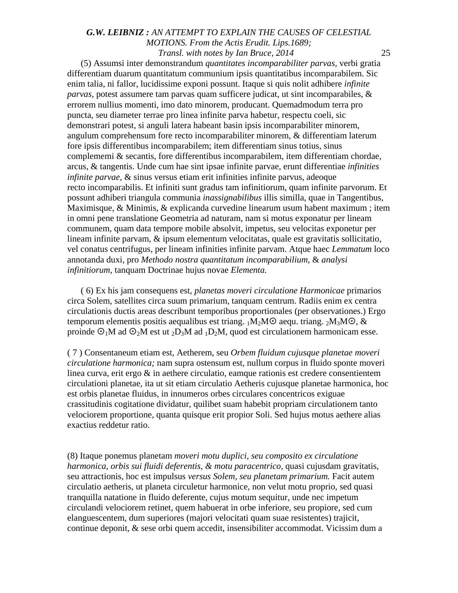(5) Assumsi inter demonstrandum *quantitates incomparabiliter parvas,* verbi gratia differentiam duarum quantitatum communium ipsis quantitatibus incomparabilem. Sic enim talia, ni fallor, lucidissime exponi possunt. Itaque si quis nolit adhibere *infinite parvas,* potest assumere tam parvas quam sufficere judicat, ut sint incomparabiles, & errorem nullius momenti, imo dato minorem, producant. Quemadmodum terra pro puncta, seu diameter terrae pro linea infinite parva habetur, respectu coeli, sic demonstrari potest, si anguli latera habeant basin ipsis incomparabiliter minorem, angulum comprehensum fore recto incomparabiliter minorem, & differentiam laterum fore ipsis differentibus incomparabilem; item differentiam sinus totius, sinus complememi & secantis, fore differentibus incomparabilem, item differentiam chordae, arcus, & tangentis. Unde cum hae sint ipsae infinite parvae, erunt differentiae *infinities infinite parvae,* & sinus versus etiam erit infinities infinite parvus, adeoque recto incomparabilis. Et infiniti sunt gradus tam infinitiorum, quam infinite parvorum. Et possunt adhiberi triangula communia *inassignabilibus* illis similla, quae in Tangentibus, Maximisque, & Minimis, & explicanda curvedine linearum usum habent maximum ; item in omni pene translatione Geometria ad naturam, nam si motus exponatur per lineam communem, quam data tempore mobile absolvit, impetus, seu velocitas exponetur per lineam infinite parvam, & ipsum elementum velocitatas, quale est gravitatis sollicitatio, vel conatus centrifugus, per lineam infinities infinite parvam. Atque haec *Lemmatum* loco annotanda duxi, pro *Methodo nostra quantitatum incomparabilium,* & *analysi infinitiorum,* tanquam Doctrinae hujus novae *Elementa.*

( 6) Ex his jam consequens est, *planetas moveri circulatione Harmonicae* primarios circa Solem, satellites circa suum primarium, tanquam centrum. Radiis enim ex centra circulationis ductis areas describunt temporibus proportionales (per observationes.) Ergo temporum elementis positis aequalibus est triang.  $1M_2MO$  aequ. triang.  $2M_3MO$ , & proinde  $\mathcal{O}_1M$  ad  $\mathcal{O}_2M$  est ut  $_2D_3M$  ad  $_1D_2M$ , quod est circulationem harmonicam esse.

( 7 ) Consentaneum etiam est, Aetherem, seu *Orbem fluidum cujusque planetae moveri circulatione harmonica;* nam supra ostensum est, nullum corpus in fluido sponte moveri linea curva, erit ergo & in aethere circulatio, eamque rationis est credere consentientem circulationi planetae, ita ut sit etiam circulatio Aetheris cujusque planetae harmonica, hoc est orbis planetae fluidus, in innumeros orbes circulares concentricos exiguae crassitudinis cogitatione dividatur, quilibet suam habebit propriam circulationem tanto velociorem proportione, quanta quisque erit propior Soli. Sed hujus motus aethere alias exactius reddetur ratio.

(8) Itaque ponemus planetam *moveri motu duplici, seu composito ex circulatione harmonica, orbis sui fluidi deferentis, & motu paracentrico,* quasi cujusdam gravitatis, seu attractionis, hoc est impulsus *versus Solem, seu planetam primarium.* Facit autem circulatio aetheris, ut planeta circuletur harmonice, non velut motu proprio, sed quasi tranquilla natatione in fluido deferente, cujus motum sequitur, unde nec impetum circulandi velociorem retinet, quem habuerat in orbe inferiore, seu propiore, sed cum elanguescentem, dum superiores (majori velocitati quam suae resistentes) trajicit, continue deponit, & sese orbi quem accedit, insensibiliter accommodat. Vicissim dum a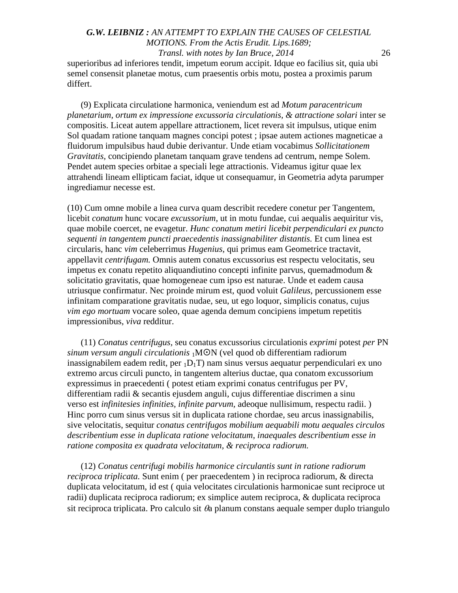superioribus ad inferiores tendit, impetum eorum accipit. Idque eo facilius sit, quia ubi semel consensit planetae motus, cum praesentis orbis motu, postea a proximis parum differt.

(9) Explicata circulatione harmonica, veniendum est ad *Motum paracentricum planetarium, ortum ex impressione excussoria circulationis, & attractione solari* inter se compositis. Liceat autem appellare attractionem, licet revera sit impulsus, utique enim Sol quadam ratione tanquam magnes concipi potest ; ipsae autem actiones magneticae a fluidorum impulsibus haud dubie derivantur. Unde etiam vocabimus *Sollicitationem Gravitatis,* concipiendo planetam tanquam grave tendens ad centrum, nempe Solem. Pendet autem species orbitae a speciali lege attractionis. Videamus igitur quae lex attrahendi lineam ellipticam faciat, idque ut consequamur, in Geometria adyta parumper ingrediamur necesse est.

(10) Cum omne mobile a linea curva quam describit recedere conetur per Tangentem, licebit *conatum* hunc vocare *excussorium,* ut in motu fundae, cui aequalis aequiritur vis, quae mobile coercet, ne evagetur. *Hunc conatum metiri licebit perpendiculari ex puncto sequenti in tangentem puncti praecedentis inassignabiliter distantis.* Et cum linea est circularis, hanc *vim* celeberrimus *Hugenius,* qui primus eam Geometrice tractavit, appellavit *centrifugam.* Omnis autem conatus excussorius est respectu velocitatis, seu impetus ex conatu repetito aliquandiutino concepti infinite parvus, quemadmodum  $\&$ solicitatio gravitatis, quae homogeneae cum ipso est naturae. Unde et eadem causa utriusque confirmatur. Nec proinde mirum est, quod voluit *Galileus,* percussionem esse infinitam comparatione gravitatis nudae, seu, ut ego loquor, simplicis conatus, cujus *vim ego mortuam* vocare soleo, quae agenda demum concipiens impetum repetitis impressionibus, *viva* redditur.

(11) *Conatus centrifugus,* seu conatus excussorius circulationis *exprimi* potest *per* PN *sinum versum anguli circulationis* 1MN (vel quod ob differentiam radiorum inassignabilem eadem redit, per  $_1D_1T$ ) nam sinus versus aequatur perpendiculari ex uno extremo arcus circuli puncto, in tangentem alterius ductae, qua conatom excussorium expressimus in praecedenti ( potest etiam exprimi conatus centrifugus per PV, differentiam radii & secantis ejusdem anguli, cujus differentiae discrimen a sinu verso est *infinitesies infinities, infinite parvum,* adeoque nullisimum, respectu radii. ) Hinc porro cum sinus versus sit in duplicata ratione chordae, seu arcus inassignabilis, sive velocitatis, sequitur *conatus centrifugos mobilium aequabili motu aequales circulos describentium esse in duplicata ratione velocitatum, inaequales describentium esse in ratione composita ex quadrata velocitatum, & reciproca radiorum.*

(12) *Conatus centrifugi mobilis harmonice circulantis sunt in ratione radiorum reciproca triplicata.* Sunt enim ( per praecedentem ) in reciproca radiorum, & directa duplicata velocitatum, id est ( quia velocitates circulationis harmonicae sunt reciproce ut radii) duplicata reciproca radiorum; ex simplice autem reciproca, & duplicata reciproca sit reciproca triplicata. Pro calculo sit  $\theta$ a planum constans aequale semper duplo triangulo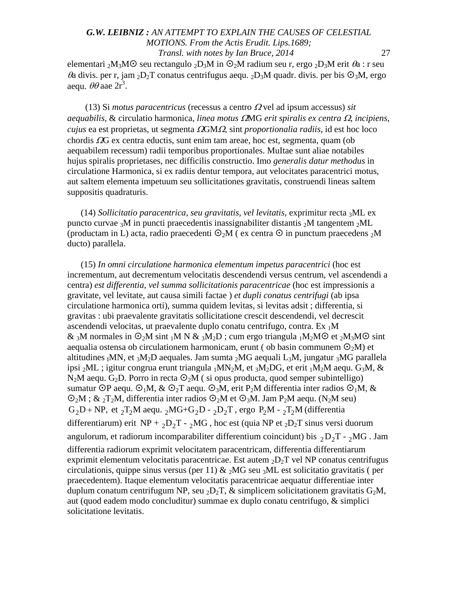elementari <sub>2</sub>M<sub>3</sub>M $\odot$  seu rectangulo <sub>2</sub>D<sub>3</sub>M in  $\odot$ <sub>2</sub>M radium seu r, ergo <sub>2</sub>D<sub>3</sub>M erit  $\theta$ a : r seu  $\theta$ a divis. per r, jam <sub>2</sub>D<sub>2</sub>T conatus centrifugus aequ. <sub>2</sub>D<sub>3</sub>M quadr. divis. per bis  $\odot$ <sub>3</sub>M, ergo aequ.  $\theta\theta$  aae  $2r^3$ .

(13) Si *motus paracentricus* (recessus a centro <sup>Ω</sup> vel ad ipsum accessus) *sit aequabilis,* & circulatio harmonica, *linea motus* <sup>Ω</sup>MG *erit spiralis ex centra* <sup>Ω</sup>, *incipiens, cujus* ea est proprietas, ut segmenta <sup>Ω</sup>GMΩ, sint *proportionalia radiis,* id est hoc loco chordis  $\Omega$ G ex centra eductis, sunt enim tam areae, hoc est, segmenta, quam (ob aequabilem recessum) radii temporibus proportionales. MuItae sunt aliae notabiles hujus spiralis proprietases, nec difficilis constructio. Imo *generalis datur methodus* in circulatione Harmonica, si ex radiis dentur tempora, aut velocitates paracentrici motus, aut saItem elementa impetuum seu sollicitationes gravitatis, construendi lineas saItem suppositis quadraturis.

(14) *Sollicitatio paracentrica, seu gravitatis, vel levitatis,* exprimitur recta 3ML ex puncto curvae <sub>3</sub>M in puncti praecedentis inassignabiliter distantis <sub>2</sub>M tangentem <sub>2</sub>ML (productam in L) acta, radio praecedenti  $\mathcal{O}_2M$  (ex centra  $\mathcal O$  in punctum praecedens  $_2M$ ducto) parallela.

(15) *In omni circulatione harmonica elementum impetus paracentrici* (hoc est incrementum, aut decrementum velocitatis descendendi versus centrum, vel ascendendi a centra) *est differentia, vel summa sollicitationis paracentricae* (hoc est impressionis a gravitate, vel levitate, aut causa simili factae ) *et dupli conatus centrifugi* (ab ipsa circulatione harmonica orti), summa quidem levitas, si levitas adsit ; differentia, si gravitas : ubi praevalente gravitatis sollicitatione crescit descendendi, vel decrescit ascendendi velocitas, ut praevalente duplo conatu centrifugo, contra. Ex 1M & <sub>3</sub>M normales in  $\mathcal{O}_2M$  sint <sub>1</sub>M N & <sub>3</sub>M<sub>2</sub>D; cum ergo triangula <sub>1</sub>M<sub>2</sub>M $\odot$  et <sub>2</sub>M<sub>3</sub>M $\odot$  sint aequalia ostensa ob circulationem harmonicam, erunt (ob basin communem  $\mathcal{O}_2M$ ) et altitudines  $I_{1}MN$ , et  $3M_{2}D$  aequales. Jam sumta  $2MG$  aequali  $L_{3}M$ , jungatur  $3MG$  parallela ipsi <sub>2</sub>ML ; igitur congrua erunt triangula <sub>1</sub>MN<sub>2</sub>M, et <sub>3</sub>M<sub>2</sub>DG, et erit <sub>1</sub>M<sub>2</sub>M aequ. G<sub>3</sub>M, &  $N_2M$  aequ. G<sub>2</sub>D. Porro in recta  $\mathcal{O}_2M$  (si opus producta, quod semper subintelligo) sumatur OP aequ.  $\mathcal{O}_1M$ ,  $\&$   $\mathcal{O}_2T$  aequ.  $\mathcal{O}_3M$ , erit P<sub>2</sub>M differentia inter radios  $\mathcal{O}_1M$ ,  $\&$  $\mathcal{O}_2M$ ; & <sub>2</sub>T<sub>2</sub>M, differentia inter radios  $\mathcal{O}_2M$  et  $\mathcal{O}_3M$ . Jam P<sub>2</sub>M aequ. (N<sub>2</sub>M seu)  $G_2D + NP$ , et  $T_2M$  aequ.  $_2MG + G_2D - 2D_2T$ , ergo  $P_2M - 2T_2M$  (differentia differentiarum) erit NP +  $_2D_2T - _2MG$ , hoc est (quia NP et  $_2D_2T$  sinus versi duorum angulorum, et radiorum incomparabiliter differentium coincidunt) bis  $_2D_2T - _2MG$ . Jam differentia radiorum exprimit velocitatem paracentricam, differentia differentiarum exprimit elementum velocitatis paracentricae. Est autem  $_2D_2T$  vel NP conatus centrifugus circulationis, quippe sinus versus (per 11)  $\& \gamma MG$  seu  $\gamma ML$  est solicitatio gravitatis (per praecedentem). Itaque elementum velocitatis paracentricae aequatur differentiae inter duplum conatum centrifugum NP, seu  $_2D_2T$ , & simplicem solicitationem gravitatis  $G_2M$ , aut (quod eadem modo concluditur) summae ex duplo conatu centrifugo, & simplici solicitatione levitatis.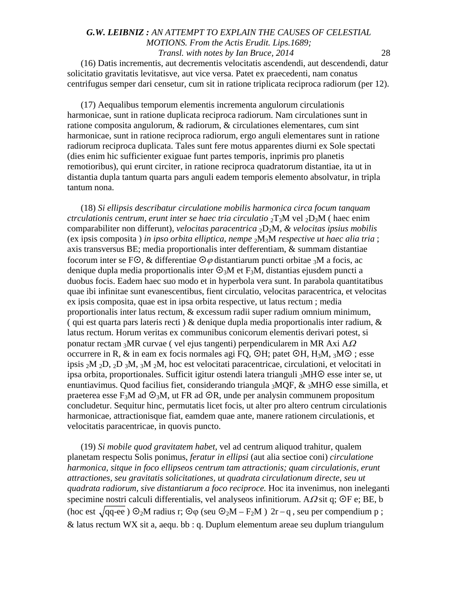(16) Datis incrementis, aut decrementis velocitatis ascendendi, aut descendendi, datur solicitatio gravitatis levitatisve, aut vice versa. Patet ex praecedenti, nam conatus centrifugus semper dari censetur, cum sit in ratione triplicata reciproca radiorum (per 12).

(17) Aequalibus temporum elementis incrementa angulorum circulationis harmonicae, sunt in ratione duplicata reciproca radiorum. Nam circulationes sunt in ratione composita angulorum, & radiorum, & circulationes elementares, cum sint harmonicae, sunt in ratione reciproca radiorum, ergo anguli elementares sunt in ratione radiorum reciproca duplicata. Tales sunt fere motus apparentes diurni ex Sole spectati (dies enim hic sufficienter exiguae funt partes temporis, inprimis pro planetis remotioribus), qui erunt circiter, in ratione reciproca quadratorum distantiae, ita ut in distantia dupla tantum quarta pars anguli eadem temporis elemento absolvatur, in tripla tantum nona.

(18) *Si ellipsis describatur circulatione mobilis harmonica circa focum tanquam ctrculationis centrum, erunt inter se haec tria circulatio* 2T3M vel 2D3M ( haec enim comparabiliter non differunt), *velocitas paracentrica* 2D2M, *& velocitas ipsius mobilis* (ex ipsis composita ) *in ipso orbita elliptica, nempe* 2M3M *respective ut haec alia tria* ; axis transversus BE; media proportionalis inter defferentiam, & summam distantiae focorum inter se F $\odot$ , & differentiae  $\odot$  *o* distantiarum puncti orbitae <sub>3</sub>M a focis, ac denique dupla media proportionalis inter  $\mathcal{O}_3M$  et F<sub>3</sub>M, distantias ejusdem puncti a duobus focis. Eadem haec suo modo et in hyperbola vera sunt. In parabola quantitatibus quae ibi infinitae sunt evanescentibus, fient circulatio, velocitas paracentrica, et velocitas ex ipsis composita, quae est in ipsa orbita respective, ut latus rectum ; media proportionalis inter latus rectum, & excessum radii super radium omnium minimum, ( qui est quarta pars lateris recti)  $\&$  denique dupla media proportionalis inter radium,  $\&$ latus rectum. Horum veritas ex communibus conicorum elementis derivari potest, si ponatur rectam <sub>3</sub>MR curvae ( vel ejus tangenti) perpendicularem in MR Axi A $\Omega$ occurrere in R, & in eam ex focis normales agi FQ,  $\odot$ H; patet  $\odot$ H, H<sub>3</sub>M, <sub>3</sub>M $\odot$ ; esse ipsis  $2M$   $2D$ ,  $2D$   $3M$ ,  $3M$   $2M$ , hoc est velocitati paracentricae, circulationi, et velocitati in ipsa orbita, proportionales. Sufficit igitur ostendi latera trianguli  $_3$ MH $\odot$  esse inter se, ut enuntiavimus. Quod facilius fiet, considerando triangula  $_3MQF$ ,  $\&$   $_3MHO$  esse similla, et praeterea esse  $F_3M$  ad  $\mathcal{O}_3M$ , ut FR ad  $\mathcal{O}_3R$ , unde per analysin communem propositum concludetur. Sequitur hinc, permutatis licet focis, ut alter pro altero centrum circulationis harmonicae, attractionisque fiat, eamdem quae ante, manere rationem circulationis, et velocitatis paracentricae, in quovis puncto.

(19) *Si mobile quod gravitatem habet,* vel ad centrum aliquod trahitur, qualem planetam respectu Solis ponimus, *feratur in ellipsi* (aut alia sectioe coni) *circulatione harmonica, sitque in foco ellipseos centrum tam attractionis; quam circulationis, erunt attractiones, seu gravitatis solicitationes, ut quadrata circulationum directe, seu ut quadrata radiorum, sive distantiarum a foco reciproce.* Hoc ita invenimus, non ineleganti specimine nostri calculi differentialis, vel analyseos infinitiorum. A $\Omega$  sit q; OF e; BE, b (hoc est  $\sqrt{qq-ee}$ )  $\mathcal{O}_2M$  radius r;  $\mathcal{O}\varphi$  (seu  $\mathcal{O}_2M - F_2M$ ) 2r – q, seu per compendium p;  $\&$  latus rectum WX sit a, aequ. bb : q. Duplum elementum areae seu duplum triangulum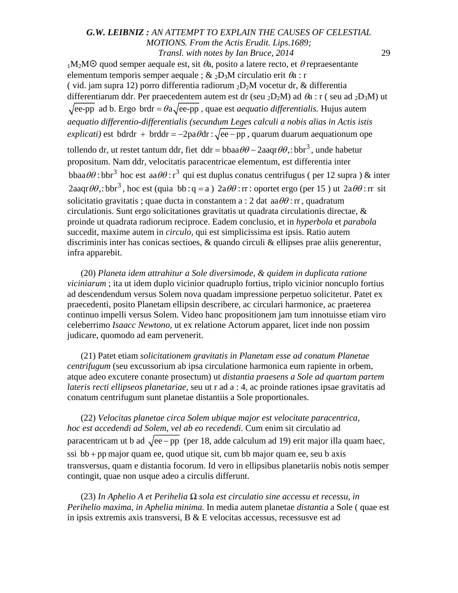$1-M_2M$  quod semper aequale est, sit  $\theta_a$ , posito a latere recto, et  $\theta$  repraesentante elementum temporis semper aequale ;  $\&$  <sub>2</sub>D<sub>3</sub>M circulatio erit  $\theta$ a : r ( vid. jam supra 12) porro differentia radiorum  $_2D_2M$  vocetur dr, & differentia differentiarum ddr. Per praecedentem autem est dr (seu <sub>2</sub>D<sub>2</sub>M) ad  $\theta$ a : r (seu ad <sub>2</sub>D<sub>3</sub>M) ut  $\sqrt{\text{ee-pp}}$  ad b. Ergo brdr =  $\theta$ a $\sqrt{\text{ee-pp}}$ , quae est *aequatio differentialis*. Hujus autem *aequatio differentio-differentialis (secundum Leges calculi a nobis alias in Actis istis explicati)* est bdrdr + brddr =  $-2pa\theta dr$  :  $\sqrt{ee - pp}$ , quarum duarum aequationum ope tollendo dr, ut restet tantum ddr, fiet ddr =  $bbaa\theta\theta - 2aaqr\theta\theta$ ,:  $bbr^3$ , unde habetur propositum. Nam ddr, velocitatis paracentricae elementum, est differentia inter  $bbaa\theta\theta$ : bbr<sup>3</sup> hoc est  $aa\theta\theta$ : r<sup>3</sup> qui est duplus conatus centrifugus ( per 12 supra ) & inter  $2$ aaqr $\theta\theta$ ,: bbr<sup>3</sup>, hoc est (quia bb : q = a )  $2a\theta\theta$  : rr : oportet ergo (per 15) ut  $2a\theta\theta$  : rr sit solicitatio gravitatis ; quae ducta in constantem a : 2 dat  $aa\theta\theta$  : rr, quadratum circulationis. Sunt ergo solicitationes gravitatis ut quadrata circulationis directae, & proinde ut quadrata radiorum reciproce. Eadem conclusio, et in *hyperbola* et *parabola*  succedit, maxime autem in *circulo,* qui est simplicissima est ipsis. Ratio autem discriminis inter has conicas sectioes, & quando circuli & ellipses prae aliis generentur, infra apparebit.

(20) *Planeta idem attrahitur a Sole diversimode, & quidem in duplicata ratione viciniarum* ; ita ut idem duplo vicinior quadruplo fortius, triplo vicinior noncuplo fortius ad descendendum versus Solem nova quadam impressione perpetuo solicitetur. Patet ex praecedenti, posito Planetam ellipsin describere, ac circulari harmonice, ac praeterea continuo impelli versus Solem. Video hanc propositionem jam tum innotuisse etiam viro celeberrimo *Isaacc Newtono,* ut ex relatione Actorum apparet, licet inde non possim judicare, quomodo ad eam pervenerit.

(21) Patet etiam *solicitationem gravitatis in Planetam esse ad conatum Planetae centrifugum* (seu excussorium ab ipsa circulatione harmonica eum rapiente in orbem, atque adeo excutere conante prosectum) ut *distantia praesens a Sole ad quartam partem lateris recti ellipseos planetariae,* seu ut r ad a : 4, ac proinde rationes ipsae gravitatis ad conatum centrifugum sunt planetae distantiis a Sole proportionales.

(22) *Velocitas planetae circa Solem ubique major est velocitate paracentrica, hoc est accedendi ad Solem, vel ab eo recedendi.* Cum enim sit circulatio ad paracentricam ut b ad  $\sqrt{ee - pp}$  (per 18, adde calculum ad 19) erit major illa quam haec,  $ssi$  bb + pp major quam ee, quod utique sit, cum bb major quam ee, seu b axis transversus, quam e distantia focorum. Id vero in ellipsibus planetariis nobis notis semper contingit, quae non usque adeo a circulis differunt.

(23) *In Aphelio A et Perihelia Ω sola est circulatio sine accessu et recessu, in Perihelio maxima, in Aphelia minima.* In media autem planetae *distantia* a Sole ( quae est in ipsis extremis axis transversi, B & E velocitas accessus, recessusve est ad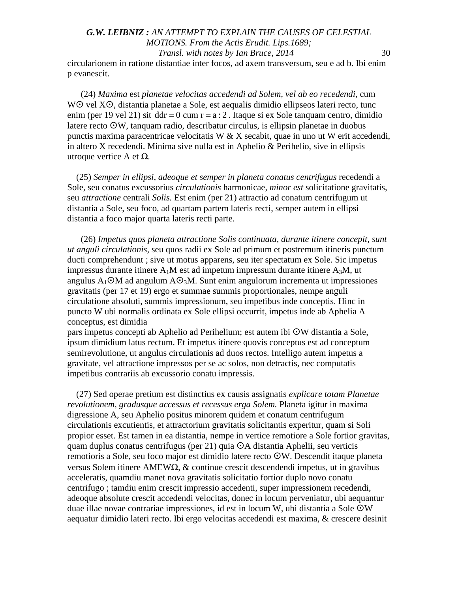### *G.W. LEIBNIZ : AN ATTEMPT TO EXPLAIN THE CAUSES OF CELESTIAL MOTIONS. From the Actis Erudit. Lips.1689; Transl. with notes by Ian Bruce, 2014* 30 circularionem in ratione distantiae inter focos, ad axem transversum, seu e ad b. Ibi enim

p evanescit.

(24) *Maxima* est *planetae velocitas accedendi ad Solem, vel ab eo recedendi,* cum WO vel XO, distantia planetae a Sole, est aequalis dimidio ellipseos lateri recto, tunc enim (per 19 vel 21) sit ddr = 0 cum r =  $a:2$ . Itaque si ex Sole tanquam centro, dimidio latere recto OW, tanquam radio, describatur circulus, is ellipsin planetae in duobus punctis maxima paracentricae velocitatis W  $& X$  secabit, quae in uno ut W erit accedendi, in altero X recedendi. Minima sive nulla est in Aphelio & Perihelio, sive in ellipsis utroque vertice A et *Ω.*

(25) *Semper in ellipsi, adeoque et semper in planeta conatus centrifugus* recedendi a Sole, seu conatus excussorius *circulationis* harmonicae, *minor est* solicitatione gravitatis, seu *attractione* centrali *Solis.* Est enim (per 21) attractio ad conatum centrifugum ut distantia a Sole, seu foco, ad quartam partem lateris recti, semper autem in ellipsi distantia a foco major quarta lateris recti parte.

(26) *Impetus quos planeta attractione Solis continuata, durante itinere concepit, sunt ut anguli circulationis,* seu quos radii ex Sole ad primum et postremum itineris punctum ducti comprehendunt ; sive ut motus apparens, seu iter spectatum ex Sole. Sic impetus impressus durante itinere  $A_1M$  est ad impetum impressum durante itinere  $A_3M$ , ut angulus  $A_1 \odot M$  ad angulum  $A \odot M$ . Sunt enim angulorum incrementa ut impressiones gravitatis (per 17 et 19) ergo et summae summis proportionales, nempe anguli circulatione absoluti, summis impressionum, seu impetibus inde conceptis. Hinc in puncto W ubi normalis ordinata ex Sole ellipsi occurrit, impetus inde ab Aphelia A conceptus, est dimidia

pars impetus concepti ab Aphelio ad Perihelium; est autem ibi W distantia a Sole, ipsum dimidium latus rectum. Et impetus itinere quovis conceptus est ad conceptum semirevolutione, ut angulus circulationis ad duos rectos. Intelligo autem impetus a gravitate, vel attractione impressos per se ac solos, non detractis, nec computatis impetibus contrariis ab excussorio conatu impressis.

(27) Sed operae pretium est distinctius ex causis assignatis *explicare totam Planetae revolutionem, gradusque accessus et recessus erga Solem.* Planeta igitur in maxima digressione A, seu Aphelio positus minorem quidem et conatum centrifugum circulationis excutientis, et attractorium gravitatis solicitantis experitur, quam si Soli propior esset. Est tamen in ea distantia, nempe in vertice remotiore a Sole fortior gravitas, quam duplus conatus centrifugus (per 21) quia  $\odot$ A distantia Aphelii, seu verticis remotioris a Sole, seu foco major est dimidio latere recto W. Descendit itaque planeta versus Solem itinere AMEWΩ, & continue crescit descendendi impetus, ut in gravibus acceleratis, quamdiu manet nova gravitatis solicitatio fortior duplo novo conatu centrifugo ; tamdiu enim crescit impressio accedenti, super impressionem recedendi, adeoque absolute crescit accedendi velocitas, donec in locum perveniatur, ubi aequantur duae illae novae contrariae impressiones, id est in locum W, ubi distantia a Sole W aequatur dimidio lateri recto. Ibi ergo velocitas accedendi est maxima, & crescere desinit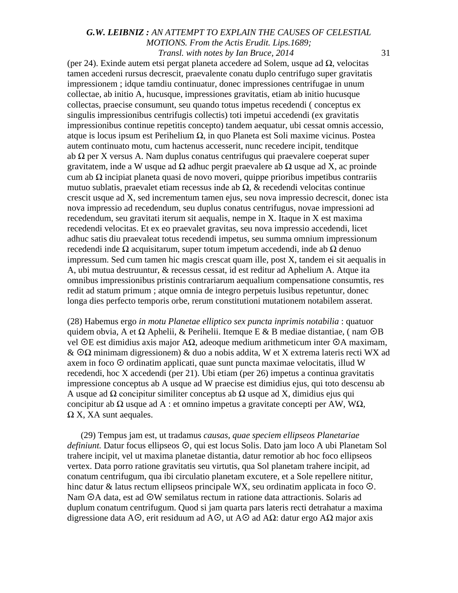(per 24). Exinde autem etsi pergat planeta accedere ad Solem, usque ad  $\Omega$ , velocitas tamen accedeni rursus decrescit, praevalente conatu duplo centrifugo super gravitatis impressionem ; idque tamdiu continuatur, donec impressiones centrifugae in unum collectae, ab initio A, hucusque, impressiones gravitatis, etiam ab initio hucusque collectas, praecise consumunt, seu quando totus impetus recedendi ( conceptus ex singulis impressionibus centrifugis collectis) toti impetui accedendi (ex gravitatis impressionibus continue repetitis concepto) tandem aequatur, ubi cessat omnis accessio, atque is locus ipsum est Perihelium Ω, in quo Planeta est Soli maxime vicinus. Postea autem continuato motu, cum hactenus accesserit, nunc recedere incipit, tenditque ab  $\Omega$  per X versus A. Nam duplus conatus centrifugus qui praevalere coeperat super gravitatem, inde a W usque ad  $\Omega$  adhuc pergit praevalere ab  $\Omega$  usque ad X, ac proinde cum ab Ω incipiat planeta quasi de novo moveri, quippe prioribus impetibus contrariis mutuo sublatis, praevalet etiam recessus inde ab  $\Omega$ , & recedendi velocitas continue crescit usque ad X, sed incrementum tamen ejus, seu nova impressio decrescit, donec ista nova impressio ad recedendum, seu duplus conatus centrifugus, novae impressioni ad recedendum, seu gravitati iterum sit aequalis, nempe in X. Itaque in X est maxima recedendi velocitas. Et ex eo praevalet gravitas, seu nova impressio accedendi, licet adhuc satis diu praevaleat totus recedendi impetus, seu summa omnium impressionum recedendi inde  $\Omega$  acquisitarum, super totum impetum accedendi, inde ab  $\Omega$  denuo impressum. Sed cum tamen hic magis crescat quam ille, post X, tandem ei sit aequalis in A, ubi mutua destruuntur, & recessus cessat, id est reditur ad Aphelium A. Atque ita omnibus impressionibus pristinis contrariarum aequalium compensatione consumtis, res redit ad statum primum ; atque omnia de integro perpetuis lusibus repetuntur, donec longa dies perfecto temporis orbe, rerum constitutioni mutationem notabilem asserat.

(28) Habemus ergo *in motu Planetae elliptico sex puncta inprimis notabilia* : quatuor quidem obvia, A et  $\Omega$  Aphelii, & Perihelii. Itemque E & B mediae distantiae, (nam  $\odot$ B vel  $\Theta$ E est dimidius axis major AΩ, adeoque medium arithmeticum inter  $\Theta$ A maximam,  $\&$  O $\Omega$  minimam digressionem)  $\&$  duo a nobis addita, W et X extrema lateris recti WX ad axem in foco  $\odot$  ordinatim applicati, quae sunt puncta maximae velocitatis, illud W recedendi, hoc X accedendi (per 21). Ubi etiam (per 26) impetus a continua gravitatis impressione conceptus ab A usque ad W praecise est dimidius ejus, qui toto descensu ab A usque ad  $\Omega$  concipitur similiter conceptus ab  $\Omega$  usque ad X, dimidius ejus qui concipitur ab Ω usque ad A : et omnino impetus a gravitate concepti per AW, WΩ*,*  $\Omega$  X, XA sunt aequales.

(29) Tempus jam est, ut tradamus *causas, quae speciem ellipseos Planetariae* definiunt. Datur focus ellipseos  $\odot$ , qui est locus Solis. Dato jam loco A ubi Planetam Sol trahere incipit, vel ut maxima planetae distantia, datur remotior ab hoc foco ellipseos vertex. Data porro ratione gravitatis seu virtutis, qua Sol planetam trahere incipit, ad conatum centrifugum, qua ibi circulatio planetam excutere, et a Sole repellere nititur, hinc datur & latus rectum ellipseos principale WX, seu ordinatim applicata in foco  $\odot$ . Nam OA data, est ad OW semilatus rectum in ratione data attractionis. Solaris ad duplum conatum centrifugum. Quod si jam quarta pars lateris recti detrahatur a maxima digressione data A<sup>O</sup>, erit residuum ad A<sup>O</sup>, ut A<sup>O</sup> ad AΩ: datur ergo AΩ major axis